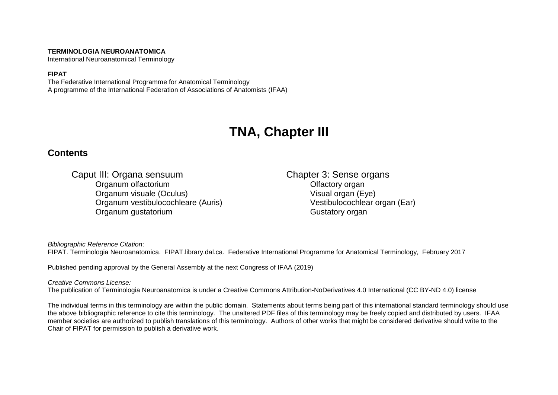#### **TERMINOLOGIA NEUROANATOMICA**

International Neuroanatomical Terminology

#### **FIPAT**

The Federative International Programme for Anatomical Terminology A programme of the International Federation of Associations of Anatomists (IFAA)

# **TNA, Chapter III**

### **Contents**

Caput III: Organa sensuum Chapter 3: Sense organs<br>Organum olfactorium Chapter 3: Sense organ Organum olfactorium Organum visuale (Oculus) Visual organ (Eye) Organum vestibulocochleare (Auris) Vestibulocochlear organ (Ear) Organum gustatorium Computer Computer Contractory organization organization organization organization organization organization organization organization organization organization organization organization organization org

*Bibliographic Reference Citation*:

FIPAT. Terminologia Neuroanatomica. FIPAT.library.dal.ca. Federative International Programme for Anatomical Terminology, February 2017

Published pending approval by the General Assembly at the next Congress of IFAA (2019)

#### *Creative Commons License:*

The publication of Terminologia Neuroanatomica is under a Creative Commons Attribution-NoDerivatives 4.0 International (CC BY-ND 4.0) license

The individual terms in this terminology are within the public domain. Statements about terms being part of this international standard terminology should use the above bibliographic reference to cite this terminology. The unaltered PDF files of this terminology may be freely copied and distributed by users. IFAA member societies are authorized to publish translations of this terminology. Authors of other works that might be considered derivative should write to the Chair of FIPAT for permission to publish a derivative work.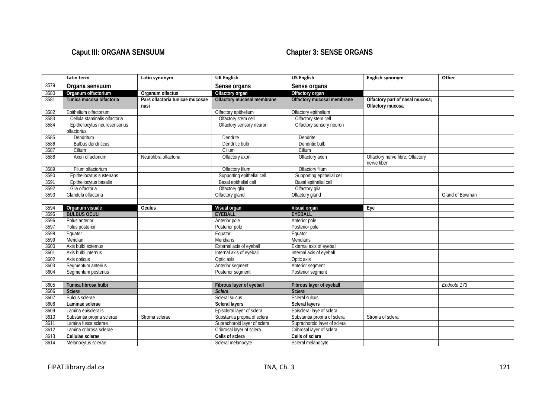## Caput III: ORGANA SENSUUM **Chapter 3: SENSE ORGANS**

|      | Latin term                                   | Latin synonym                           | <b>UK English</b>            | <b>US English</b>            | English synonym                                     | Other           |
|------|----------------------------------------------|-----------------------------------------|------------------------------|------------------------------|-----------------------------------------------------|-----------------|
| 3579 | Organa sensuum                               |                                         | Sense organs                 | Sense organs                 |                                                     |                 |
| 3580 | Organum olfactorium                          | Organum olfactus                        | Olfactory organ              | Olfactory organ              |                                                     |                 |
| 3581 | Tunica mucosa olfactoria                     | Pars olfactoria tunicae mucosae<br>nasi | Olfactory mucosal membrane   | Olfactory mucosal membrane   | Olfactory part of nasal mucosa;<br>Olfactory mucosa |                 |
| 3582 | Epithelium olfactorium                       |                                         | Olfactory epithelium         | Olfactory epithelium         |                                                     |                 |
| 3583 | Cellula staminalis olfactoria                |                                         | Olfactory stem cell          | Olfactory stem cell          |                                                     |                 |
| 3584 | Epitheliocytus neurosensorius<br>olfactorius |                                         | Olfactory sensory neuron     | Olfactory sensory neuron     |                                                     |                 |
| 3585 | Dendritum                                    |                                         | Dendrite                     | Dendrite                     |                                                     |                 |
| 3586 | <b>Bulbus dendriticus</b>                    |                                         | Dendritic bulb               | Dendritic bulb               |                                                     |                 |
| 3587 | Cilium                                       |                                         | Cilium                       | Cilium                       |                                                     |                 |
| 3588 | Axon olfactorium                             | Neurofibra olfactoria                   | Olfactory axon               | Olfactory axon               | Olfactory nerve fibre; Olfactory<br>nerve fiber     |                 |
| 3589 | Filum olfactorium                            |                                         | Olfactory filum              | Olfactory filum              |                                                     |                 |
| 3590 | Epitheliocytus sustenans                     |                                         | Supporting epithelial cell   | Supporting epithelial cell   |                                                     |                 |
| 3591 | Epitheliocytus basalis                       |                                         | Basal epithelial cell        | Basal epithelial cell        |                                                     |                 |
| 3592 | Glia olfactoria                              |                                         | Olfactory glia               | Olfactory glia               |                                                     |                 |
| 3593 | Glandula olfactoria                          |                                         | Olfactory gland              | Olfactory gland              |                                                     | Gland of Bowman |
|      |                                              |                                         |                              |                              |                                                     |                 |
| 3594 | Organum visuale                              | Oculus                                  | Visual organ                 | Visual organ                 | Eye                                                 |                 |
| 3595 | <b>BULBUS OCULI</b>                          |                                         | <b>EYEBALL</b>               | <b>EYEBALL</b>               |                                                     |                 |
| 3596 | Polus anterior                               |                                         | Anterior pole                | Anterior pole                |                                                     |                 |
| 3597 | Polus posterior                              |                                         | Posterior pole               | Posterior pole               |                                                     |                 |
| 3598 | Equator                                      |                                         | Equator                      | Equator                      |                                                     |                 |
| 3599 | Meridiani                                    |                                         | Meridians                    | Meridians                    |                                                     |                 |
| 3600 | Axis bulbi externus                          |                                         | External axis of eyeball     | External axis of eyeball     |                                                     |                 |
| 3601 | Axis bulbi internus                          |                                         | Internal axis of eyeball     | Internal axis of eyeball     |                                                     |                 |
| 3602 | Axis opticus                                 |                                         | Optic axis                   | Optic axis                   |                                                     |                 |
| 3603 | Segmentum anterius                           |                                         | Anterior segment             | Anterior segment             |                                                     |                 |
| 3604 | Segmentum posterius                          |                                         | Posterior segment            | Posterior segment            |                                                     |                 |
|      |                                              |                                         |                              |                              |                                                     |                 |
| 3605 | Tunica fibrosa bulbi                         |                                         | Fibrous layer of eyeball     | Fibrous layer of eyeball     |                                                     | Endnote 173     |
| 3606 | <b>Sclera</b>                                |                                         | <b>Sclera</b>                | <b>Sclera</b>                |                                                     |                 |
| 3607 | Sulcus sclerae                               |                                         | Scleral sulcus               | Scleral sulcus               |                                                     |                 |
| 3608 | Laminae sclerae                              |                                         | <b>Scleral layers</b>        | <b>Scleral layers</b>        |                                                     |                 |
| 3609 | Lamina episcleralis                          |                                         | Episcleral layer of sclera   | Episcleral laye of sclera    |                                                     |                 |
| 3610 | Substantia propria sclerae                   | Stroma sclerae                          | Substantia propria of sclera | Substantia propria of sclera | Stroma of sclera                                    |                 |
| 3611 | Lamina fusca sclerae                         |                                         | Suprachoroid layer of sclera | Suprachoroid layer of sclera |                                                     |                 |
| 3612 | Lamina cribrosa sclerae                      |                                         | Cribrosal layer of sclera    | Cribrosal layer of sclera    |                                                     |                 |
| 3613 | Cellulae sclerae                             |                                         | Cells of sclera              | Cells of sclera              |                                                     |                 |
| 3614 | Melanocytus sclerae                          |                                         | Scleral melanocyte           | Scleral melanocyte           |                                                     |                 |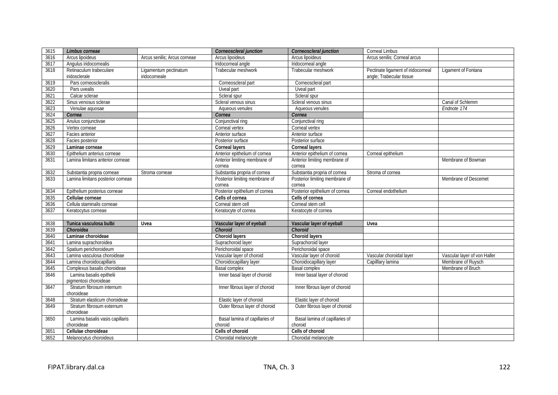| 3615 | Limbus corneae                                    |                                        | Corneoscleral junction         | Corneoscleral junction         | <b>Corneal Limbus</b>                                          |                              |
|------|---------------------------------------------------|----------------------------------------|--------------------------------|--------------------------------|----------------------------------------------------------------|------------------------------|
| 3616 | Arcus lipoideus                                   | Arcus senilis; Arcus corneae           | Arcus lipoideus                | Arcus lipoideus                | Arcus senilis; Corneal arcus                                   |                              |
| 3617 | Angulus iridocornealis                            |                                        | Iridocorneal angle             | Iridocorneal angle             |                                                                |                              |
| 3618 | Retinaculum trabeculare<br>iridosclerale          | Ligamentum pectinatum<br>iridocorneale | Trabecular meshwork            | Trabecular meshwork            | Pectinate ligament of iridocorneal<br>angle; Trabecular tissue | Ligament of Fontana          |
| 3619 | Pars corneoscleralis                              |                                        | Corneoscleral part             | Corneoscleral part             |                                                                |                              |
| 3620 | Pars uvealis                                      |                                        | Uveal part                     | Uveal part                     |                                                                |                              |
| 3621 | Calcar sclerae                                    |                                        | Scleral spur                   | Scleral spur                   |                                                                |                              |
| 3622 | Sinus venosus sclerae                             |                                        | Scleral venous sinus           | Scleral venous sinus           |                                                                | Canal of Schlemm             |
| 3623 | Venulae aquosae                                   |                                        | Aqueous venules                | Aqueous venules                |                                                                | Endnote 174                  |
| 3624 | Cornea                                            |                                        | Cornea                         | Cornea                         |                                                                |                              |
| 3625 | Anulus conjunctivae                               |                                        | Conjunctival ring              | Conjunctival ring              |                                                                |                              |
| 3626 | Vertex corneae                                    |                                        | Corneal vertex                 | Corneal vertex                 |                                                                |                              |
| 3627 | Facies anterior                                   |                                        | Anterior surface               | Anterior surface               |                                                                |                              |
| 3628 | Facies posterior                                  |                                        | Posterior surface              | Posterior surface              |                                                                |                              |
| 3629 | Laminae corneae                                   |                                        | <b>Corneal layers</b>          | <b>Corneal layers</b>          |                                                                |                              |
| 3630 | Epithelium anterius corneae                       |                                        | Anterior epithelium of cornea  | Anterior epithelium of cornea  | Corneal epithelium                                             |                              |
| 3631 | Lamina limitans anterior corneae                  |                                        | Anterior limiting membrane of  | Anterior limiting membrane of  |                                                                | Membrane of Bowman           |
|      |                                                   |                                        | cornea                         | cornea                         |                                                                |                              |
| 3632 | Substantia propria corneae                        | Stroma corneae                         | Substantia propria of cornea   | Substantia propria of cornea   | Stroma of cornea                                               |                              |
| 3633 | Lamina limitans posterior corneae                 |                                        | Posterior limiting membrane of | Posterior limiting membrane of |                                                                | Membrane of Descemet         |
|      |                                                   |                                        | cornea                         | cornea                         |                                                                |                              |
| 3634 | Epithelium posterius corneae                      |                                        | Posterior epithelium of cornea | Posterior epithelium of cornea | Corneal endothelium                                            |                              |
| 3635 | Cellulae corneae                                  |                                        | Cells of cornea                | Cells of cornea                |                                                                |                              |
| 3636 | Cellula staminalis corneae                        |                                        | Corneal stem cell              | Corneal stem cell              |                                                                |                              |
| 3637 | Keratocytus corneae                               |                                        | Keratocyte of cornea           | Keratocyte of cornea           |                                                                |                              |
|      |                                                   |                                        |                                |                                |                                                                |                              |
| 3638 | Tunica vasculosa bulbi                            | Uvea                                   | Vascular layer of eyeball      | Vascular layer of eyeball      | Uvea                                                           |                              |
| 3639 | Choroidea                                         |                                        | Choroid                        | Choroid                        |                                                                |                              |
| 3640 | Laminae choroideae                                |                                        | Choroid layers                 | Choroid layers                 |                                                                |                              |
| 3641 | Lamina suprachoroidea                             |                                        | Suprachoroid layer             | Suprachoroid layer             |                                                                |                              |
| 3642 | Spatium perichoroideum                            |                                        | Perichoroidal space            | Perichoroidal space            |                                                                |                              |
| 3643 | Lamina vasculosa choroideae                       |                                        | Vascular layer of choroid      | Vascular layer of choroid      | Vascular choroidal layer                                       | Vascular layer of von Haller |
| 3644 | Lamina choroidocapillaris                         |                                        | Choroidocapillary layer        | Choroidocapillary layer        | Capilllary lamina                                              | Membrane of Ruysch           |
| 3645 | Complexus basalis choroideae                      |                                        | Basal complex                  | <b>Basal complex</b>           |                                                                | Membrane of Bruch            |
| 3646 | Lamina basalis epithelii<br>pigmentosi choroideae |                                        | Inner basal layer of choroid   | Inner basal layer of choroid   |                                                                |                              |
| 3647 | Stratum fibrosum internum<br>choroideae           |                                        | Inner fibrous layer of choroid | Inner fibrous layer of choroid |                                                                |                              |
| 3648 | Stratum elasticum choroideae                      |                                        | Elastic layer of choroid       | Elastic layer of choroid       |                                                                |                              |
| 3649 | Stratum fibrosum externum<br>choroideae           |                                        | Outer fibrous layer of choroid | Outer fibrous layer of choroid |                                                                |                              |
| 3650 | Lamina basalis vasis capillaris                   |                                        | Basal lamina of capillaries of | Basal lamina of capillaries of |                                                                |                              |
|      | choroideae                                        |                                        | choroid                        | choroid                        |                                                                |                              |
| 3651 | Cellulae choroideae                               |                                        | Cells of choroid               | Cells of choroid               |                                                                |                              |
| 3652 | Melanocytus choroideus                            |                                        | Choroidal melanocyte           | Choroidal melanocyte           |                                                                |                              |
|      |                                                   |                                        |                                |                                |                                                                |                              |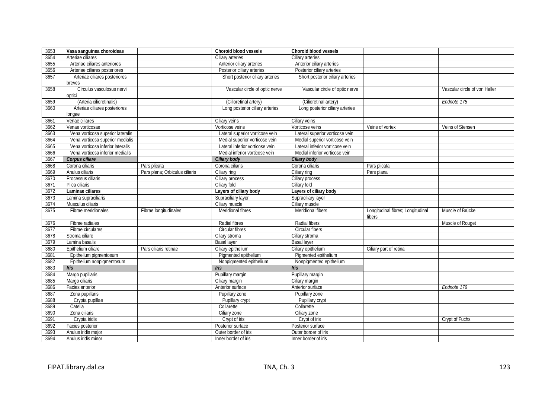| 3653 | Vasa sanguinea choroideae           |                                | Choroid blood vessels            | <b>Choroid blood vessels</b>     |                                             |                               |
|------|-------------------------------------|--------------------------------|----------------------------------|----------------------------------|---------------------------------------------|-------------------------------|
| 3654 | Arteriae ciliares                   |                                | Ciliary arteries                 | Ciliary arteries                 |                                             |                               |
| 3655 | Arteriae ciliares anteriores        |                                | Anterior ciliary arteries        | Anterior ciliary arteries        |                                             |                               |
| 3656 | Arteriae ciliares posteriores       |                                | Posterior ciliary arteries       | Posterior ciliary arteries       |                                             |                               |
| 3657 | Arteriae ciliares posteriores       |                                | Short posterior ciliary arteries | Short posterior ciliary arteries |                                             |                               |
|      | breves                              |                                |                                  |                                  |                                             |                               |
| 3658 | Circulus vasculosus nervi<br>optici |                                | Vascular circle of optic nerve   | Vascular circle of optic nerve   |                                             | Vascular circle of von Haller |
| 3659 | (Arteria cilioretinalis)            |                                | (Cilioretinal artery)            | (Cilioretinal artery)            |                                             | Endnote 175                   |
| 3660 | Arteriae ciliares posteriores       |                                | Long posterior ciliary arteries  | Long posterior ciliary arteries  |                                             |                               |
|      | longae                              |                                |                                  |                                  |                                             |                               |
| 3661 | Venae ciliares                      |                                | Ciliary veins                    | Ciliary veins                    |                                             |                               |
| 3662 | Venae vorticosae                    |                                | Vorticose veins                  | Vorticose veins                  | Veins of vortex                             | Veins of Stensen              |
| 3663 | Vena vorticosa superior lateralis   |                                | Lateral superior vorticose vein  | Lateral superior vorticose vein  |                                             |                               |
| 3664 | Vena vorticosa superior medialis    |                                | Medial superior vorticose vein   | Medial superior vorticose vein   |                                             |                               |
| 3665 | Vena vorticosa inferior lateralis   |                                | Lateral inferior vorticose vein  | Lateral inferior vorticose vein  |                                             |                               |
| 3666 | Vena vorticosa inferior medialis    |                                | Medial inferior vorticose vein   | Medial inferior vorticose vein   |                                             |                               |
| 3667 | Corpus ciliare                      |                                | Ciliary body                     | Ciliary body                     |                                             |                               |
| 3668 | Corona ciliaris                     | Pars plicata                   | Corona ciliaris                  | Corona ciliaris                  | Pars plicata                                |                               |
| 3669 | Anulus ciliaris                     | Pars plana; Orbiculus ciliaris | Ciliary ring                     | Ciliary ring                     | Pars plana                                  |                               |
| 3670 | Processus ciliaris                  |                                | Ciliary process                  | Ciliary process                  |                                             |                               |
| 3671 | Plica ciliaris                      |                                | Ciliary fold                     | Ciliary fold                     |                                             |                               |
| 3672 | Laminae ciliares                    |                                | Layers of ciliary body           | Layers of ciliary body           |                                             |                               |
| 3673 | Lamina supraciliaris                |                                | Supraciliary layer               | Supraciliary layer               |                                             |                               |
| 3674 | Musculus ciliaris                   |                                | Ciliary muscle                   | Ciliary muscle                   |                                             |                               |
| 3675 | Fibrae meridionales                 | Fibrae longitudinales          | Meridional fibres                | Meridional fibers                | Longitudinal fibres; Longitudinal<br>fibers | Muscle of Brücke              |
| 3676 | Fibrae radiales                     |                                | Radial fibres                    | Radial fibers                    |                                             | Muscle of Rouget              |
| 3677 | Fibrae circulares                   |                                | Circular fibres                  | Circular fibers                  |                                             |                               |
| 3678 | Stroma ciliare                      |                                | Cilary stroma                    | Ciliary stroma                   |                                             |                               |
| 3679 | Lamina basalis                      |                                | <b>Basal layer</b>               | <b>Basal layer</b>               |                                             |                               |
| 3680 | Epithelium ciliare                  | Pars ciliaris retinae          | Ciliary epithelium               | Ciliary epithelium               | Ciliary part of retina                      |                               |
| 3681 | Epithelium pigmentosum              |                                | Pigmented epithelium             | Pigmented epithelium             |                                             |                               |
| 3682 | Epithelium nonpigmentosum           |                                | Nonpigmented epithelium          | Nonpigmented epithelium          |                                             |                               |
| 3683 | Iris                                |                                | <b>Iris</b>                      | Iris                             |                                             |                               |
| 3684 | Margo pupillaris                    |                                | Pupillary margin                 | Pupillary margin                 |                                             |                               |
| 3685 | Margo ciliaris                      |                                | Ciliary margin                   | Ciliary margin                   |                                             |                               |
| 3686 | Facies anterior                     |                                | Anterior surface                 | Anterior surface                 |                                             | Endnote 176                   |
| 3687 | Zona pupillaris                     |                                | Pupillary zone                   | Pupillary zone                   |                                             |                               |
| 3688 | Crypta pupillae                     |                                | Pupillary crypt                  | Pupillary crypt                  |                                             |                               |
| 3689 | Catella                             |                                | Collarette                       | Collarette                       |                                             |                               |
| 3690 | Zona ciliaris                       |                                | Ciliary zone                     | Ciliary zone                     |                                             |                               |
| 3691 | Crypta iridis                       |                                | Crypt of iris                    | Crypt of iris                    |                                             | Crypt of Fuchs                |
| 3692 | Facies posterior                    |                                | Posterior surface                | Posterior surface                |                                             |                               |
| 3693 | Anulus iridis major                 |                                | Outer border of iris             | Outer border of iris             |                                             |                               |
| 3694 | Anulus iridis minor                 |                                | Inner border of iris             | Inner border of iris             |                                             |                               |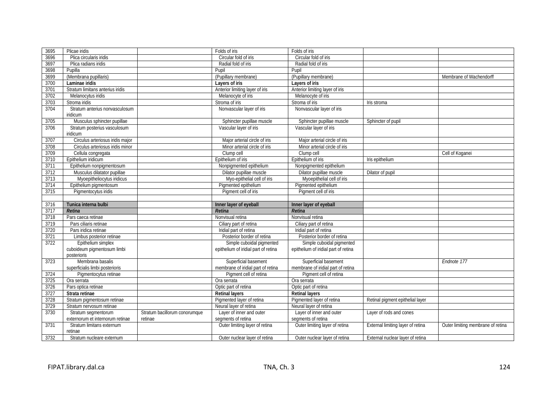| 3695 | Plicae iridis                        |                               | Folds of iris                        | Folds of iris                        |                                   |                                   |
|------|--------------------------------------|-------------------------------|--------------------------------------|--------------------------------------|-----------------------------------|-----------------------------------|
| 3696 | Plica circularis iridis              |                               | Circular fold of iris                | Circular fold of iris                |                                   |                                   |
| 3697 | Plica radians iridis                 |                               | Radial fold of iris                  | Radial fold of iris                  |                                   |                                   |
| 3698 | Pupilla                              |                               | Pupil                                | Pupil                                |                                   |                                   |
| 3699 | (Membrana pupillaris)                |                               | (Pupillary membrane)                 | (Pupillary membrane)                 |                                   | Membrane of Wachendorff           |
| 3700 | Laminae iridis                       |                               | Layers of iris                       | Layers of iris                       |                                   |                                   |
| 3701 | Stratum limitans anterius iridis     |                               | Anterior limiting layer of iris      | Anterior limiting layer of iris      |                                   |                                   |
| 3702 | Melanocytus iridis                   |                               | Melanocyte of iris                   | Melanocyte of iris                   |                                   |                                   |
| 3703 | Stroma iridis                        |                               | Stroma of iris                       | Stroma of iris                       | Iris stroma                       |                                   |
| 3704 | Stratum anterius nonvasculosum       |                               | Nonvascular layer of iris            | Nonvascular layer of iris            |                                   |                                   |
|      | iridicum                             |                               |                                      |                                      |                                   |                                   |
| 3705 | Musculus sphincter pupillae          |                               | Sphincter pupillae muscle            | Sphincter pupillae muscle            | Sphincter of pupil                |                                   |
| 3706 | Stratum posterius vasculosum         |                               | Vascular layer of iris               | Vascular layer of iris               |                                   |                                   |
|      | iridicum                             |                               |                                      |                                      |                                   |                                   |
| 3707 | Circulus arteriosus iridis major     |                               | Major arterial circle of iris        | Major arterial circle of iris        |                                   |                                   |
| 3708 | Circulus arteriosus iridis minor     |                               | Minor arterial circle of iris        | Minor arterial circle of iris        |                                   |                                   |
| 3709 | Cellula congregata                   |                               | Clump cell                           | Clump cell                           |                                   | Cell of Koganei                   |
| 3710 | Epithelium iridicum                  |                               | Epithelium of iris                   | Epithelium of iris                   | Iris epithelium                   |                                   |
| 3711 | Epithelium nonpigmentosum            |                               | Nonpigmented epithelium              | Nonpigmented epithelium              |                                   |                                   |
| 3712 | Musculus dilatator pupillae          |                               | Dilator pupillae muscle              | Dilator pupillae muscle              | Dilator of pupil                  |                                   |
| 3713 | Myoepitheliocytus iridicus           |                               | Myo-epithelial cell of iris          | Myoepithelial cell of iris           |                                   |                                   |
| 3714 | Epithelium pigmentosum               |                               | Pigmented epithelium                 | Pigmented epithelium                 |                                   |                                   |
| 3715 | Pigmentocytus iridis                 |                               | Pigment cell of iris                 | Pigment cell of iris                 |                                   |                                   |
|      |                                      |                               |                                      |                                      |                                   |                                   |
|      |                                      |                               |                                      |                                      |                                   |                                   |
| 3716 | Tunica interna bulbi                 |                               | Inner layer of eyeball               | Inner layer of eyeball               |                                   |                                   |
| 3717 | Retina                               |                               | Retina                               | Retina                               |                                   |                                   |
| 3718 | Pars caeca retinae                   |                               | Nonvisual retina                     | Nonvisual retina                     |                                   |                                   |
| 3719 | Pars ciliaris retinae                |                               | Ciliary part of retina               | Ciliary part of retina               |                                   |                                   |
| 3720 | Pars iridica retinae                 |                               | Iridial part of retina               | Iridial part of retina               |                                   |                                   |
| 3721 | Limbus posterior retinae             |                               | Posterior border of retina           | Posterior border of retina           |                                   |                                   |
| 3722 | Epithelium simplex                   |                               | Simple cuboidal pigmented            | Simple cuboidal pigmented            |                                   |                                   |
|      | cuboideum pigmentosum limbi          |                               | epithelium of iridial part of retina | epithelium of iridial part of retina |                                   |                                   |
|      | posterioris                          |                               |                                      |                                      |                                   |                                   |
| 3723 | Membrana basalis                     |                               | Superficial basement                 | Superficial basement                 |                                   | Endnote 177                       |
|      | superficialis limbi posterioris      |                               | membrane of iridial part of retina   | membrane of iridial part of retina   |                                   |                                   |
| 3724 | Pigmentocytus retinae                |                               | Pigment cell of retina               | Pigment cell of retina               |                                   |                                   |
| 3725 | Ora serrata                          |                               | Ora serrata                          | Ora serrata                          |                                   |                                   |
| 3726 | Pars optica retinae                  |                               | Optic part of retina                 | Optic part of retina                 |                                   |                                   |
| 3727 | Strata retinae                       |                               | <b>Retinal layers</b>                | <b>Retinal lavers</b>                |                                   |                                   |
| 3728 | Stratum pigmentosum retinae          |                               | Pigmented layer of retina            | Pigmented layer of retina            | Retinal pigment epithelial layer  |                                   |
| 3729 | Stratum nervosum retinae             |                               | Neural layer of retina               | Neural layer of retina               |                                   |                                   |
| 3730 | Stratum segmentorum                  | Stratum bacillorum conorumque | Layer of inner and outer             | Layer of inner and outer             | Layer of rods and cones           |                                   |
|      | externorum et internorum retinae     | retinae                       | segments of retina                   | segments of retina                   |                                   |                                   |
| 3731 | Stratum limitans externum            |                               | Outer limiting layer of retina       | Outer limiting layer of retina       | External limiting layer of retina | Outer limiting membrane of retina |
| 3732 | retinae<br>Stratum nucleare externum |                               | Outer nuclear layer of retina        | Outer nuclear layer of retina        | External nuclear layer of retina  |                                   |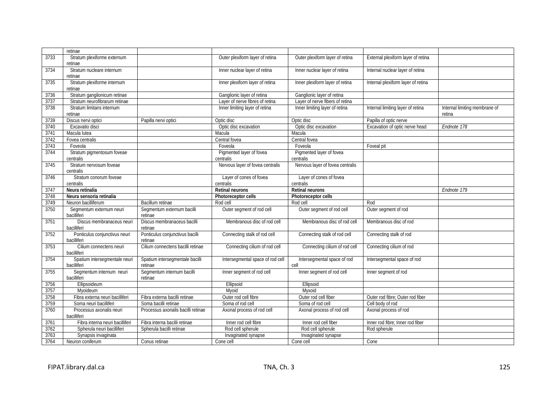|      | retinae                         |                                    |                                  |                                  |                                    |                               |
|------|---------------------------------|------------------------------------|----------------------------------|----------------------------------|------------------------------------|-------------------------------|
| 3733 | Stratum plexiforme externum     |                                    | Outer plexiform layer of retina  | Outer plexiform layer of retina  | External plexiform layer of retina |                               |
|      | retinae                         |                                    |                                  |                                  |                                    |                               |
| 3734 | Stratum nucleare internum       |                                    | Inner nuclear layer of retina    | Inner nuclear layer of retina    | Internal nuclear layer of retina   |                               |
|      | retinae                         |                                    |                                  |                                  |                                    |                               |
| 3735 | Stratum plexiforme internum     |                                    | Inner plexiform layer of retina  | Inner plexiform layer of retina  | Internal plexiform layer of retina |                               |
|      | retinae                         |                                    |                                  |                                  |                                    |                               |
| 3736 | Stratum ganglionicum retinae    |                                    | Ganglionic layer of retina       | Ganglionic layer of retina       |                                    |                               |
| 3737 | Stratum neurofibrarum retinae   |                                    | Layer of nerve fibres of retina  | Layer of nerve fibers of retina  |                                    |                               |
| 3738 | Stratum limitans internum       |                                    | Inner limiting layer of retina   | Inner limiting layer of retina   | Internal limiting layer of retina  | Internal limiting membrane of |
|      | retinae                         |                                    |                                  |                                  |                                    | retina                        |
| 3739 | Discus nervi optici             | Papilla nervi optici               | Optic disc                       | Optic disc                       | Papilla of optic nerve             |                               |
| 3740 | Excavatio disci                 |                                    | Optic disc excavation            | Optic disc excavation            | Excavation of optic nerve head     | Endnote 178                   |
| 3741 | Macula lutea                    |                                    | Macula                           | Macula                           |                                    |                               |
| 3742 | Fovea centralis                 |                                    | Central fovea                    | Central fovea                    |                                    |                               |
| 3743 | Foveola                         |                                    | Foveola                          | Foveola                          | Foveal pit                         |                               |
| 3744 | Stratum pigmentosum foveae      |                                    | Pigmented layer of fovea         | Pigmented layer of fovea         |                                    |                               |
|      | centralis                       |                                    | centralis                        | centralis                        |                                    |                               |
| 3745 | Stratum nervosum foveae         |                                    | Nervous layer of fovea centralis | Nervous layer of fovea centralis |                                    |                               |
|      | centralis                       |                                    |                                  |                                  |                                    |                               |
| 3746 | Stratum conorum foveae          |                                    | Layer of cones of fovea          | Layer of cones of fovea          |                                    |                               |
|      | centralis                       |                                    | centralis                        | centralis                        |                                    |                               |
| 3747 | Neura retinalia                 |                                    | Retinal neurons                  | <b>Retinal neurons</b>           |                                    | Endnote 179                   |
| 3748 | Neura sensoria retinalia        |                                    | Photoreceptor cells              | Photoreceptor cells              |                                    |                               |
| 3749 | Neuron bacilliferum             | Bacillum retinae                   | Rod cell                         | Rod cell                         | Rod                                |                               |
| 3750 | Segmentum externum neuri        | Segmentum externum bacilli         | Outer segment of rod cell        | Outer segment of rod cell        | Outer segment of rod               |                               |
|      | bacilliferi                     | retinae                            |                                  |                                  |                                    |                               |
| 3751 | Discus membranaceus neuri       | Discus membranaceus bacilli        | Membranous disc of rod cell      | Membranous disc of rod cell      | Membranous disc of rod             |                               |
|      | bacilliferi                     | retinae                            |                                  |                                  |                                    |                               |
| 3752 | Ponticulus conjunctivus neuri   | Ponticulus conjunctivus bacilli    | Connecting stalk of rod cell     | Connecting stalk of rod cell     | Connecting stalk of rod            |                               |
|      | bacilliferi                     | retinae                            |                                  |                                  |                                    |                               |
| 3753 | Cilium connectens neuri         | Cilium connectens bacilli retinae  | Connecting cilium of rod cell    | Connecting cilium of rod cell    | Connecting cilium of rod           |                               |
|      | bacilliferi                     |                                    |                                  |                                  |                                    |                               |
| 3754 | Spatium intersegmentale neuri   | Spatium intersegmentale bacilli    | Intersegmental space of rod cell | Intersegmental space of rod      | Intersegmental space of rod        |                               |
|      | bacilliferi                     | retinae                            |                                  | cell                             |                                    |                               |
| 3755 | Segmentum internum neuri        | Segmentum internum bacilli         | Inner segment of rod cell        | Inner segment of rod cell        | Inner segment of rod               |                               |
|      | bacilliferi                     | retinae                            |                                  |                                  |                                    |                               |
| 3756 | Ellipsoideum                    |                                    | Ellipsoid                        | Ellipsoid                        |                                    |                               |
| 3757 | Myoideum                        |                                    | Myoid                            | Myxoid                           |                                    |                               |
| 3758 | Fibra externa neuri bacilliferi | Fibra externa bacilli retinae      | Outer rod cell fibre             | Outer rod cell fiber             | Outer rod fibre; Outer rod fiber   |                               |
| 3759 | Soma neuri bacilliferi          | Soma bacilli retinae               | Soma of rod cell                 | Soma of rod cell                 | Cell body of rod                   |                               |
| 3760 | Processus axonalis neuri        | Processus axonalis bacilli retinae | Axonal process of rod cell       | Axonal process of rod cell       | Axonal process of rod              |                               |
|      | bacilliferi                     |                                    |                                  |                                  |                                    |                               |
|      |                                 |                                    |                                  |                                  | Inner rod fibre; Inner rod fiber   |                               |
| 3761 | Fibra interna neuri bacilliferi | Fibra interna bacilli retinae      | Inner rod cell fibre             | Inner rod cell fiber             |                                    |                               |
| 3762 | Spherula neuri bacilliferi      | Spherula bacilli retinae           | Rod cell spherule                | Rod cell spherule                | Rod spherule                       |                               |
| 3763 | Synapsis invaginata             |                                    | Invaginated synapse              | Invaginated synapse              |                                    |                               |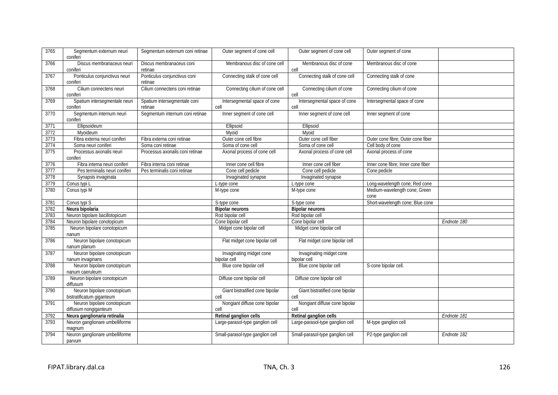| 3765 | Segmentum externum neuri                       | Segmentum externum coni retinae | Outer segment of cone cell       | Outer segment of cone cell       | Outer segment of cone                 |             |
|------|------------------------------------------------|---------------------------------|----------------------------------|----------------------------------|---------------------------------------|-------------|
|      | coniferi                                       |                                 |                                  |                                  |                                       |             |
| 3766 | Discus membranaceus neuri                      | Discus membranaceus coni        | Membranous disc of cone cell     | Membranous disc of cone          | Membranous disc of cone               |             |
|      | coniferi                                       | retinae                         |                                  | cell                             |                                       |             |
| 3767 | Ponticulus conjunctivus neuri                  | Ponticulus conjunctivus coni    | Connecting stalk of cone cell    | Connecting stalk of cone cell    | Connecting stalk of cone              |             |
|      | coniferi                                       | retinae                         |                                  |                                  |                                       |             |
| 3768 | Cilium connectens neuri                        | Cilium connectens coni retinae  | Connecting cilium of cone cell   | Connecting cilium of cone        | Connecting cilium of cone             |             |
|      | coniferi                                       |                                 |                                  | cell                             |                                       |             |
| 3769 | Spatium intersegmentale neuri                  | Spatium intersegmentale coni    | Intersegmental space of cone     | Intersegmental space of cone     | Intersegmental space of cone          |             |
|      | coniferi                                       | retinae                         | cell                             | cell                             |                                       |             |
| 3770 | Segmentum internum neuri<br>coniferi           | Segmentum internum coni retinae | Inner segment of cone cell       | Inner segment of cone cell       | Inner segment of cone                 |             |
| 3771 | Ellipsoideum                                   |                                 | Ellipsoid                        | Ellipsoid                        |                                       |             |
| 3772 | Mvoideum                                       |                                 | Mvoid                            | Mvoid                            |                                       |             |
| 3773 | Fibra externa neuri coniferi                   | Fibra externa coni retinae      | Outer cone cell fibre            | Outer cone cell fiber            | Outer cone fibre; Outer cone fiber    |             |
| 3774 | Soma neuri coniferi                            | Soma coni retinae               | Soma of cone cell                | Soma of cone cell                | Cell body of cone                     |             |
| 3775 | Processus axonalis neuri<br>coniferi           | Processus axonalis coni retinae | Axonal process of cone cell      | Axonal process of cone cell      | Axonal process of cone                |             |
| 3776 | Fibra interna neuri coniferi                   | Fibra interna coni retinae      | Inner cone cell fibre            | Inner cone cell fiber            | Inner cone fibre; Inner cone fiber    |             |
| 3777 | Pes terminalis neuri coniferi                  | Pes terminalis coni retinae     | Cone cell pedicle                | Cone cell pedicle                | Cone pedicle                          |             |
| 3778 | Synapsis invaginata                            |                                 | Invaginated synapse              | Invaginated synapse              |                                       |             |
| 3779 | Conus typi L                                   |                                 | L-type cone                      | L-type cone                      | Long-wavelength cone; Red cone        |             |
| 3780 | Conus typi M                                   |                                 | M-type cone                      | M-type cone                      | Medium-wavelength cone; Green<br>cone |             |
| 3781 | Conus typi S                                   |                                 | S-type cone                      | S-type cone                      | Short-wavelength cone; Blue cone      |             |
| 3782 | Neura bipolaria                                |                                 | <b>Bipolar neurons</b>           | <b>Bipolar neurons</b>           |                                       |             |
| 3783 | Neuron bipolare bacillotopicum                 |                                 | Rod bipolar cell                 | Rod bipolar cell                 |                                       |             |
| 3784 | Neuron bipolare conotopicum                    |                                 | Cone bipolar cell                | Cone bipolar cell                |                                       | Endnote 180 |
| 3785 | Neuron bipolare conotopicum                    |                                 | Midget cone bipolar cell         | Midget cone bipolar cell         |                                       |             |
|      | nanum                                          |                                 |                                  |                                  |                                       |             |
| 3786 | Neuron bipolare conotopicum                    |                                 | Flat midget cone bipolar cell    | Flat midget cone bipolar cell    |                                       |             |
|      | nanum planum                                   |                                 |                                  |                                  |                                       |             |
| 3787 | Neuron bipolare conotopicum                    |                                 | Invaginating midget cone         | Invaginating midget cone         |                                       |             |
|      | nanum invaginans                               |                                 | bipolar cell                     | bipolar cell                     |                                       |             |
| 3788 | Neuron bipolare conotopicum<br>nanum caeruleum |                                 | Blue cone bipolar cell           | Blue cone bipolar cell           | S-cone bipolar cell.                  |             |
| 3789 | Neuron bipolare conotopicum<br>diffusum        |                                 | Diffuse cone bipolar cell        | Diffuse cone bipolar cell        |                                       |             |
| 3790 | Neuron bipolare conotopicum                    |                                 | Giant bistratified cone bipolar  | Giant bistratified cone bipolar  |                                       |             |
|      | bistratificatum giganteum                      |                                 | cell                             | cell                             |                                       |             |
| 3791 | Neuron bipolare conotopicum                    |                                 | Nongiant diffuse cone bipolar    | Nongiant diffuse cone bipolar    |                                       |             |
|      | diffusum nongiganteum                          |                                 | cell                             | cell                             |                                       |             |
| 3792 | Neura ganglionaria retinalia                   |                                 | Retinal ganglion cells           | Retinal ganglion cells           |                                       | Endnote 181 |
| 3793 | Neuron ganglionare umbelliforme                |                                 | Large-parasol-type ganglion cell | Large-parasol-type ganglion cell | M-type ganglion cell                  |             |
|      | magnum                                         |                                 |                                  |                                  |                                       |             |
| 3794 | Neuron ganglionare umbelliforme                |                                 | Small-parasol-type ganglion cell | Small-parasol-type ganglion cell | P2-type ganglion cell                 | Endnote 182 |
|      | parvum                                         |                                 |                                  |                                  |                                       |             |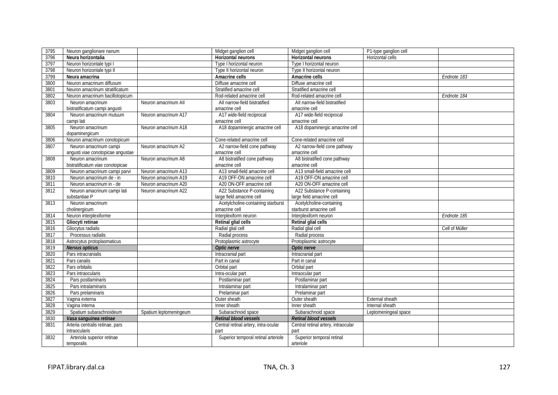| 3795 | Neuron ganglionare nanum          |                        | Midget ganglion cell                 | Midget ganglion cell                | P1-type ganglion cell |                |
|------|-----------------------------------|------------------------|--------------------------------------|-------------------------------------|-----------------------|----------------|
| 3796 | Neura horizontalia                |                        | Horizontal neurons                   | Horizontal neurons                  | Horizontal cells      |                |
| 3797 | Neuron horizontale typi I         |                        | Type I horizontal neuron             | Type I horizontal neuron            |                       |                |
| 3798 | Neuron horizontale typi II        |                        | Type II horizontal neuron            | Type II horizontal neuron           |                       |                |
| 3799 | Neura amacrina                    |                        | Amacrine cells                       | Amacrine cells                      |                       | Endnote 183    |
| 3800 | Neuron amacrinum diffusum         |                        | Diffuse amacrine cell                | Diffuse amacrine cell               |                       |                |
| 3801 | Neuron amacrinum stratificatum    |                        | Stratified amacrine cell             | Stratified amacrine cell            |                       |                |
| 3802 | Neuron amacrinum bacillotopicum   |                        | Rod-related amacrine cell            | Rod-related amacrine cell           |                       | Endnote 184    |
| 3803 | Neuron amacrinum                  | Neuron amacrinum All   | All narrow-field bistratified        | All narrow-field bistratified       |                       |                |
|      | bistratificatum campi angusti     |                        | amacrine cell                        | amacrine cell                       |                       |                |
| 3804 | Neuron amacrinum mutuum           | Neuron amacrinum A17   | A17 wide-field reciprocal            | A17 wide-field reciprocal           |                       |                |
|      | campi lati                        |                        | amacrine cell                        | amacrine cell                       |                       |                |
| 3805 | Neuron amacrinum                  | Neuron amacrinum A18   | A18 dopaminergic amacrine cell       | A18 dopaminergic amacrine cell      |                       |                |
|      | dopaminergicum                    |                        |                                      |                                     |                       |                |
| 3806 | Neuron amacrinum conotopicum      |                        | Cone-related amacrine cell           | Cone-related amacrine cell          |                       |                |
| 3807 | Neuron amacrinum campi            | Neuron amacrinum A2    | A2 narrow-field cone pathway         | A2 narrow-field cone pathway        |                       |                |
|      | angusti viae conotopicae angustae |                        | amacrine cell                        | amacrine cell                       |                       |                |
| 3808 | Neuron amacrinum                  | Neuron amacrinum A8    | A8 bistratified cone pathway         | A8 bistratified cone pathway        |                       |                |
|      | bistratificatum viae conotopicae  |                        | amacrine cell                        | amacrine cell                       |                       |                |
| 3809 | Neuron amacrinum campi parvi      | Neuron amacrinum A13   | A13 small-field amacrine cell        | A13 small-field amacrine cell       |                       |                |
| 3810 | Neuron amacrinum de - in          | Neuron amacrinum A19   | A19 OFF-ON amacrine cell             | A19 OFF-ON amacrine cell            |                       |                |
| 3811 | Neuron amacrinum in - de          | Neuron amacrinum A20   | A20 ON-OFF amacrine cell             | A20 ON-OFF amacrine cell            |                       |                |
| 3812 | Neuron amacrinum campi lati       | Neuron amacrinum A22   | A22 Substance P-containing           | A22 Substance P-containing          |                       |                |
|      | substantiae P                     |                        | large field amacrine cell            | large field amacrine cell           |                       |                |
| 3813 | Neuron amacrinum                  |                        | Acetylcholine-containing starburst   | Acetylcholine-containing            |                       |                |
|      | cholinergicum                     |                        | amacrine cell                        | starburst amacrine cell             |                       |                |
| 3814 | Neuron interplexiforme            |                        | Interplexiform neuron                | Interplexiform neuron               |                       | Endnote 185    |
| 3815 | Gliocyti retinae                  |                        | Retinal glial cells                  | Retinal glial cells                 |                       |                |
| 3816 | Gliocytus radialis                |                        | Radial glial cell                    | Radial glial cell                   |                       | Cell of Müller |
| 3817 | Processus radialis                |                        | Radial process                       | Radial process                      |                       |                |
| 3818 | Astrocytus protoplasmaticus       |                        | Protoplasmic astrocyte               | Protoplasmic astrocyte              |                       |                |
| 3819 | Nervus opticus                    |                        | Optic nerve                          | Optic nerve                         |                       |                |
| 3820 | Pars intracranialis               |                        | Intracranial part                    | Intracranial part                   |                       |                |
| 3821 | Pars canalis                      |                        | Part in canal                        | Part in canal                       |                       |                |
| 3822 | Pars orbitalis                    |                        | Orbital part                         | Orbital part                        |                       |                |
| 3823 | Pars intraocularis                |                        | Intra-ocular part                    | Intraocular part                    |                       |                |
| 3824 | Pars postlaminaris                |                        | Postlaminar part                     | Postlaminar part                    |                       |                |
| 3825 | Pars intralaminaris               |                        | Intralaminar part                    | Intralaminar part                   |                       |                |
| 3826 | Pars prelaminaris                 |                        | Prelaminar part                      | Prelaminar part                     |                       |                |
| 3827 | Vagina externa                    |                        | Outer sheath                         | Outer sheath                        | External sheath       |                |
| 3828 | Vagina interna                    |                        | Inner sheath                         | Inner sheath                        | Internal sheath       |                |
| 3829 | Spatium subarachnoideum           | Spatium leptomeningeum | Subarachnoid space                   | Subarachnoid space                  | Leptomeningeal space  |                |
| 3830 | Vasa sanguinea retinae            |                        | Retinal blood vessels                | Retinal blood vessels               |                       |                |
| 3831 | Arteria centralis retinae, pars   |                        | Central retinal artery, intra-ocular | Central retinal artery, intraocular |                       |                |
|      | <i>intraocularis</i>              |                        | part                                 | part                                |                       |                |
| 3832 | Arteriola superior retinae        |                        | Superior temporal retinal arteriole  | Superior temporal retinal           |                       |                |
|      | temporalis                        |                        |                                      | arteriole                           |                       |                |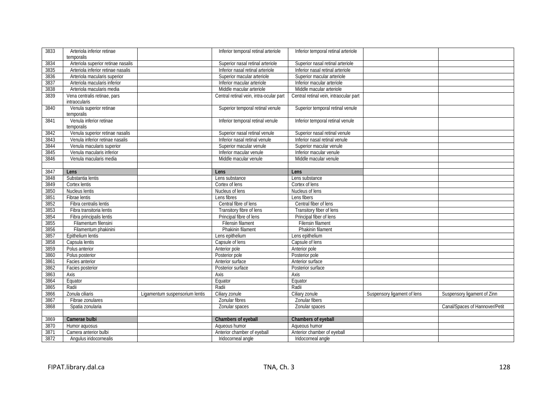| 3833 | Arteriola inferior retinae         |                                | Inferior temporal retinal arteriole     | Inferior temporal retinal arteriole    |                             |                                |
|------|------------------------------------|--------------------------------|-----------------------------------------|----------------------------------------|-----------------------------|--------------------------------|
|      | temporalis                         |                                |                                         |                                        |                             |                                |
| 3834 | Arteriola superior retinae nasalis |                                | Superior nasal retinal arteriole        | Superior nasal retinal arteriole       |                             |                                |
| 3835 | Arteriola inferior retinae nasalis |                                | Inferior nasal retinal arteriole        | Inferior nasal retinal arteriole       |                             |                                |
| 3836 | Arteriola macularis superior       |                                | Superior macular arteriole              | Superior macular arteriole             |                             |                                |
| 3837 | Arteriola macularis inferior       |                                | Inferior macular arteriole              | Inferior macular arteriole             |                             |                                |
| 3838 | Arteriola macularis media          |                                | Middle macular arteriole                | Middle macular arteriole               |                             |                                |
| 3839 | Vena centralis retinae, pars       |                                | Central retinal vein, intra-ocular part | Central retinal vein, intraocular part |                             |                                |
|      | intraocularis                      |                                |                                         |                                        |                             |                                |
| 3840 | Venula superior retinae            |                                | Superior temporal retinal venule        | Superior temporal retinal venule       |                             |                                |
|      | temporalis                         |                                |                                         |                                        |                             |                                |
| 3841 | Venula inferior retinae            |                                | Inferior temporal retinal venule        | Inferior temporal retinal venule       |                             |                                |
|      | temporalis                         |                                |                                         |                                        |                             |                                |
| 3842 | Venula superior retinae nasalis    |                                | Superior nasal retinal venule           | Superior nasal retinal venule          |                             |                                |
| 3843 | Venula inferior retinae nasalis    |                                | Inferior nasal retinal venule           | Inferior nasal retinal venule          |                             |                                |
| 3844 | Venula macularis superior          |                                | Superior macular venule                 | Superior macular venule                |                             |                                |
| 3845 | Venula macularis inferior          |                                | Inferior macular venule                 | Inferior macular venule                |                             |                                |
| 3846 | Venula macularis media             |                                | Middle macular venule                   | Middle macular venule                  |                             |                                |
|      |                                    |                                |                                         |                                        |                             |                                |
| 3847 | Lens                               |                                | Lens                                    | Lens                                   |                             |                                |
| 3848 | Substantia lentis                  |                                | Lens substance                          | Lens substance                         |                             |                                |
| 3849 | Cortex lentis                      |                                | Cortex of lens                          | Cortex of lens                         |                             |                                |
| 3850 | Nucleus lentis                     |                                | Nucleus of lens                         | Nucleus of lens                        |                             |                                |
| 3851 | Fibrae lentis                      |                                | Lens fibres                             | Lens fibers                            |                             |                                |
| 3852 | Fibra centralis lentis             |                                | Central fibre of lens                   | Central fiber of lens                  |                             |                                |
| 3853 | Fibra transitoria lentis           |                                | Transitory fibre of lens                | Transitory fiber of lens               |                             |                                |
| 3854 | Fibra principalis lentis           |                                | Principal fibre of lens                 | Principal fiber of lens                |                             |                                |
| 3855 | Filamentum filensini               |                                | Filensin filament                       | Filensin filament                      |                             |                                |
| 3856 | Filamentum phakinini               |                                | Phakinin filament                       | Phakinin filament                      |                             |                                |
| 3857 | Epithelium lentis                  |                                | Lens epithelium                         | Lens epithelium                        |                             |                                |
| 3858 | Capsula lentis                     |                                | Capsule of lens                         | Capsule of lens                        |                             |                                |
| 3859 | Polus anterior                     |                                | Anterior pole                           | Anterior pole                          |                             |                                |
| 3860 | Polus posterior                    |                                | Posterior pole                          | Posterior pole                         |                             |                                |
| 3861 | Facies anterior                    |                                | Anterior surface                        | Anterior surface                       |                             |                                |
| 3862 | Facies posterior                   |                                | Posterior surface                       | Posterior surface                      |                             |                                |
| 3863 | Axis                               |                                | Axis                                    | Axis                                   |                             |                                |
| 3864 | Equator                            |                                | Equator                                 | Equator                                |                             |                                |
| 3865 | Radii                              |                                | Radii                                   | Radii                                  |                             |                                |
| 3866 | Zonula ciliaris                    | Ligamentum suspensorium lentis | Ciliary zonule                          | Ciliary zonule                         | Suspensory ligament of lens | Suspensory ligament of Zinn    |
| 3867 | Fibrae zonulares                   |                                | Zonular fibres                          | Zonular fibers                         |                             |                                |
| 3868 | Spatia zonularia                   |                                | Zonular spaces                          | Zonular spaces                         |                             | Canal/Spaces of Hannover/Petit |
|      |                                    |                                |                                         |                                        |                             |                                |
| 3869 | Camerae bulbi                      |                                | Chambers of eyeball                     | Chambers of eyeball                    |                             |                                |
| 3870 | Humor aquosus                      |                                | Aqueous humor                           | Aqueous humor                          |                             |                                |
| 3871 | Camera anterior bulbi              |                                | Anterior chamber of eyeball             | Anterior chamber of eyeball            |                             |                                |
| 3872 | Angulus iridocornealis             |                                | Iridocorneal angle                      | Iridocorneal angle                     |                             |                                |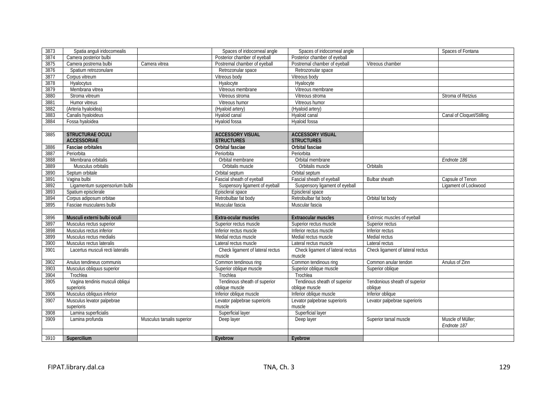| 3873 | Spatia anguli iridocornealis     |                            | Spaces of iridocorneal angle     | Spaces of iridocorneal angle     |                                  | Spaces of Fontana         |
|------|----------------------------------|----------------------------|----------------------------------|----------------------------------|----------------------------------|---------------------------|
| 3874 | Camera posterior bulbi           |                            | Posterior chamber of eyeball     | Posterior chamber of eyeball     |                                  |                           |
| 3875 | Camera postrema bulbi            | Camera vitrea              | Postremal chamber of eyeball     | Postremal chamber of eyeball     | Vitreous chamber                 |                           |
| 3876 | Spatium retrozonulare            |                            | Retrozonular space               | Retrozonular space               |                                  |                           |
| 3877 | Corpus vitreum                   |                            | Vitreous body                    | Vitreous body                    |                                  |                           |
| 3878 | Hyalocytus                       |                            | Hyalocyte                        | Hyalocyte                        |                                  |                           |
| 3879 | Membrana vitrea                  |                            | Vitreous membrane                | Vitreous membrane                |                                  |                           |
| 3880 | Stroma vitreum                   |                            | Vitreous stroma                  | Vitreous stroma                  |                                  | Stroma of Retzius         |
| 3881 | Humor vitreus                    |                            | Vitreous humor                   | Vitreous humor                   |                                  |                           |
| 3882 | (Arteria hyaloidea)              |                            | (Hyaloid artery)                 | (Hyaloid artery)                 |                                  |                           |
| 3883 | Canalis hyaloideus               |                            | Hyaloid canal                    | Hvaloid canal                    |                                  | Canal of Cloquet/Stilling |
| 3884 | Fossa hyaloidea                  |                            | Hyaloid fossa                    | Hyaloid fossa                    |                                  |                           |
|      |                                  |                            |                                  |                                  |                                  |                           |
| 3885 | <b>STRUCTURAE OCULI</b>          |                            | <b>ACCESSORY VISUAL</b>          | <b>ACCESSORY VISUAL</b>          |                                  |                           |
|      | <b>ACCESSORIAE</b>               |                            | <b>STRUCTURES</b>                | <b>STRUCTURES</b>                |                                  |                           |
| 3886 | <b>Fasciae orbitales</b>         |                            | Orbital fasciae                  | Orbital fasciae                  |                                  |                           |
| 3887 | Periorbita                       |                            | Periorbita                       | Periorbita                       |                                  |                           |
| 3888 | Membrana orbitalis               |                            | Orbital membrane                 | Orbital membrane                 |                                  | Endnote 186               |
| 3889 | Musculus orbitalis               |                            | Orbitalis muscle                 | Orbitalis muscle                 | Orbitalis                        |                           |
| 3890 | Septum orbitale                  |                            | Orbital septum                   | Orbital septum                   |                                  |                           |
| 3891 | Vagina bulbi                     |                            | Fascial sheath of eyeball        | Fascial sheath of eyeball        | Bulbar sheath                    | Capsule of Tenon          |
| 3892 | Ligamentum suspensorium bulbi    |                            | Suspensory ligament of eyeball   | Suspensory ligament of eyeball   |                                  | Ligament of Lockwood      |
| 3893 | Spatium episclerale              |                            | Episcleral space                 | Episcleral space                 |                                  |                           |
| 3894 | Corpus adiposum orbitae          |                            | Retrobulbar fat body             | Retrobulbar fat body             | Orbital fat body                 |                           |
| 3895 | Fasciae musculares bulbi         |                            | Muscular fascia                  | Muscular fascia                  |                                  |                           |
|      |                                  |                            |                                  |                                  |                                  |                           |
| 3896 | Musculi externi bulbi oculi      |                            | Extra-ocular muscles             | Extraocular muscles              | Extrinsic muscles of eyeball     |                           |
| 3897 | Musculus rectus superior         |                            | Superior rectus muscle           | Superior rectus muscle           | Superior rectus                  |                           |
| 3898 | Musculus rectus inferior         |                            | Inferior rectus muscle           | Inferior rectus muscle           | Inferior rectus                  |                           |
| 3899 | Musculus rectus medialis         |                            | Medial rectus muscle             | Medial rectus muscle             | Medial rectus                    |                           |
| 3900 | Musculus rectus lateralis        |                            | Lateral rectus muscle            | Lateral rectus muscle            | Lateral rectus                   |                           |
| 3901 | Lacertus musculi recti lateralis |                            | Check ligament of lateral rectus | Check ligament of lateral rectus | Check ligament of lateral rectus |                           |
|      |                                  |                            | muscle                           | muscle                           |                                  |                           |
| 3902 | Anulus tendineus communis        |                            | Common tendinous ring            | Common tendinous ring            | Common anular tendon             | Anulus of Zinn            |
| 3903 | Musculus obliquus superior       |                            | Superior oblique muscle          | Superior oblique muscle          | Superior oblique                 |                           |
| 3904 | Trochlea                         |                            | Trochlea                         | Trochlea                         |                                  |                           |
| 3905 | Vagina tendinis musculi obliqui  |                            | Tendinous sheath of superior     | Tendinous sheath of superior     | Tendonious sheath of superior    |                           |
|      | superioris                       |                            | oblique muscle                   | oblique muscle                   | oblique                          |                           |
| 3906 | Musculus obliquus inferior       |                            | Inferior oblique muscle          | Inferior oblique muscle          | Inferior oblique                 |                           |
| 3907 | Musculus levator palpebrae       |                            | Levator palpebrae superioris     | Levator palpebrae superioris     | Levator palpebrae superioris     |                           |
|      | superioris                       |                            | muscle                           | muscle                           |                                  |                           |
| 3908 | Lamina superficialis             |                            | Superficial layer                | Superficial layer                |                                  |                           |
| 3909 | Lamina profunda                  | Musculus tarsalis superior | Deep layer                       | Deep layer                       | Superior tarsal muscle           | Muscle of Müller;         |
|      |                                  |                            |                                  |                                  |                                  | Endnote 187               |
|      |                                  |                            |                                  |                                  |                                  |                           |
| 3910 | Supercilium                      |                            | Eyebrow                          | Eyebrow                          |                                  |                           |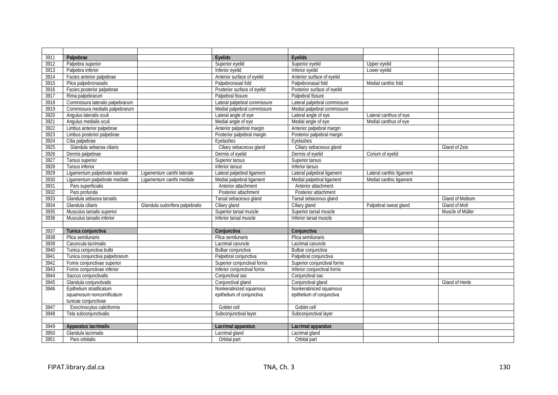| 3911 | Palpebrae                        |                                 | <b>Evelids</b>               | Evelids                      |                          |                  |
|------|----------------------------------|---------------------------------|------------------------------|------------------------------|--------------------------|------------------|
| 3912 | Palpebra superior                |                                 | Superior eyelid              | Superior eyelid              | Upper eyelid             |                  |
| 3913 | Palpebra inferior                |                                 | Inferior eyelid              | Inferior eyelid              | Lower eyelid             |                  |
| 3914 | Facies anterior palpebrae        |                                 | Anterior surface of eyelid   | Anterior surface of eyelid   |                          |                  |
| 3915 | Plica palpebronasalis            |                                 | Palpebronasal fold           | Palpebronasal fold           | Medial canthic fold      |                  |
| 3916 | Facies posterior palpebrae       |                                 | Posterior surface of eyelid  | Posterior surface of eyelid  |                          |                  |
| 3917 | Rima palpebrarum                 |                                 | Palpebral fissure            | Palpebral fissure            |                          |                  |
| 3918 | Commissura lateralis palpebrarum |                                 | Lateral palpebral commissure | Lateral palpebral commissure |                          |                  |
| 3919 | Commissura medialis palpebrarum  |                                 | Medial palpebral commissure  | Medial palpebral commissure  |                          |                  |
| 3920 | Angulus lateralis oculi          |                                 | Lateral angle of eye         | Lateral angle of eye         | Lateral canthus of eye   |                  |
| 3921 | Angulus medialis oculi           |                                 | Medial angle of eye          | Medial angle of eye          | Medial canthus of eye    |                  |
| 3922 | Limbus anterior palpebrae        |                                 | Anterior palpebral margin    | Anterior palpebral margin    |                          |                  |
| 3923 | Limbus posterior palpebrae       |                                 | Posterior palpebral margin   | Posterior palpebral margin   |                          |                  |
| 3924 | Cilia palpebrae                  |                                 | Eyelashes                    | Eyelashes                    |                          |                  |
| 3925 | Glandula sebacea ciliaris        |                                 | Ciliary sebaceous gland      | Ciliary sebaceous gland      |                          | Gland of Zeis    |
| 3926 | Dermis palpebrae                 |                                 | Dermis of eyelid             | Dermis of eyelid             | Corium of eyelid         |                  |
| 3927 | Tarsus superior                  |                                 | Superior tarsus              | Superior tarsus              |                          |                  |
| 3928 | Tarsus inferior                  |                                 | Inferior tarsus              | Inferior tarsus              |                          |                  |
| 3929 | Ligamentum palpebrale laterale   | Ligamentum canthi laterale      | Lateral palpebral ligament   | Lateral palpebral ligament   | Lateral canthic ligament |                  |
| 3930 | Ligamentum palpebrale mediale    | Ligamentum canthi mediale       | Medial palpebral ligament    | Medial palpebral ligament    | Medial canthic ligament  |                  |
| 3931 | Pars superficialis               |                                 | Anterior attachment          | Anterior attachment          |                          |                  |
| 3932 | Pars profunda                    |                                 | Posterior attachment         | Posterior attachment         |                          |                  |
| 3933 | Glandula sebacea tarsalis        |                                 | Tarsal sebaceous gland       | Tarsal sebaceous gland       |                          | Gland of Meibom  |
| 3934 | Glandula ciliaris                | Glandula sudorifera palpebralis | Ciliary gland                | Ciliary gland                | Palpebral sweat gland    | Gland of Moll    |
| 3935 | Musculus tarsalis superior       |                                 | Superior tarsal muscle       | Superior tarsal muscle       |                          | Muscle of Müller |
| 3936 | Musculus tarsalis inferior       |                                 | Inferior tarsal muscle       | Inferior tarsal muscle       |                          |                  |
|      |                                  |                                 |                              |                              |                          |                  |
| 3937 | Tunica conjunctiva               |                                 | Conjunctiva                  | Conjunctiva                  |                          |                  |
| 3938 | Plica semilunaris                |                                 | Plica semilunaris            | Plica semilunaris            |                          |                  |
| 3939 | Caruncula lacrimalis             |                                 | Lacrimal caruncle            | Lacrimal caruncle            |                          |                  |
| 3940 | Tunica conjunctiva bulbi         |                                 | Bulbar conjunctiva           | Bulbar conjunctiva           |                          |                  |
| 3941 | Tunica conjunctiva palpebrarum   |                                 | Palpebral conjunctiva        | Palpebral conjunctiva        |                          |                  |
| 3942 | Fornix conjunctivae superior     |                                 | Superior conjunctival fornix | Superior conjunctival fornix |                          |                  |
| 3943 | Fornix conjunctivae inferior     |                                 | Inferior conjunctival fornix | Inferior conjunctival fornix |                          |                  |
| 3944 | Saccus conjunctivalis            |                                 | Conjunctival sac             | Conjunctival sac             |                          |                  |
| 3945 | Glandula conjunctivalis          |                                 | Conjunctival gland           | Conjunctival gland           |                          | Gland of Henle   |
| 3946 | Epithelium stratificatum         |                                 | Nonkeratinized squamous      | Nonkeratinized squamous      |                          |                  |
|      | squamosum noncornificatum        |                                 | epithelium of conjunctiva    | epithelium of conjunctiva    |                          |                  |
|      | tunicae conjunctivae             |                                 |                              |                              |                          |                  |
| 3947 | Exocrinocytus caliciformis       |                                 | Goblet cell                  | Goblet cell                  |                          |                  |
| 3948 | Tela subconjunctivalis           |                                 | Subconjunctival layer        | Subconjunctival layer        |                          |                  |
|      |                                  |                                 |                              |                              |                          |                  |
| 3949 | <b>Apparatus lacrimalis</b>      |                                 | Lacrimal apparatus           | Lacrimal apparatus           |                          |                  |
| 3950 | Glandula lacrimalis              |                                 | Lacrimal gland               | Lacrimal gland               |                          |                  |
| 3951 | Pars orbitalis                   |                                 | Orbital part                 | Orbital part                 |                          |                  |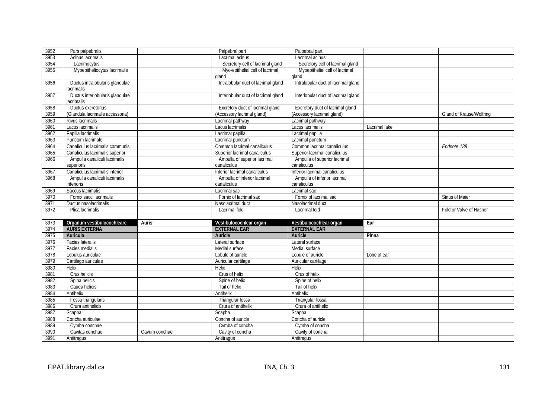| 3952         | Pars palpebralis                 |               | Palpebral part                      | Palpebral part                      |               |                          |
|--------------|----------------------------------|---------------|-------------------------------------|-------------------------------------|---------------|--------------------------|
| 3953         | Acinus lacrimalis                |               | Lacrimal acinus                     | Lacrimal acinus                     |               |                          |
| 3954         | Lacrimocytus                     |               | Secretory cell of lacrimal gland    | Secretory cell of lacrimal gland    |               |                          |
| 3955         | Myoepitheliocytus lacrimalis     |               | Myo-epithelial cell of lacrimal     | Myoepithelial cell of lacrimal      |               |                          |
|              |                                  |               | aland                               | gland                               |               |                          |
| 3956         | Ductus intralobularis glandulae  |               | Intralobular duct of lacrimal gland | Intralobular duct of lacrimal gland |               |                          |
|              | lacrimalis                       |               |                                     |                                     |               |                          |
| 3957         | Ductus interlobularis glandulae  |               | Interlobular duct of lacrimal gland | Interlobular duct of lacrimal gland |               |                          |
|              | lacrimalis                       |               |                                     |                                     |               |                          |
| 3958         | Ductus excretorius               |               | Excretory duct of lacrimal gland    | Excretory duct of lacrimal gland    |               |                          |
| 3959         | (Glandula lacrimalis accessoria) |               | (Accessory lacrimal gland)          | (Accessory lacrimal gland)          |               | Gland of Krause/Wolfring |
| 3960         | Rivus lacrimalis                 |               | Lacrimal pathway                    | Lacrimal pathway                    |               |                          |
| 3961         | Lacus lacrimalis                 |               | Lacus lacrimalis                    | Lacus lacrimalis                    | Lacrimal lake |                          |
| 3962         | Papilla lacrimalis               |               | Lacrimal papilla                    | Lacrimal papilla                    |               |                          |
| 3963         | Punctum lacrimale                |               | Lacrimal punctum                    | Lacrimal punctum                    |               |                          |
| 3964         | Canaliculus lacrimalis communis  |               | Common lacrimal canaliculus         | Common lacrimal canaliculus         |               | Endnote 188              |
| 3965         | Canaliculus lacrimalis superior  |               | Superior lacrimal canaliculus       | Superior lacrimal canaliculus       |               |                          |
| 3966         | Ampulla canaliculi lacrimalis    |               | Ampulla of superior lacrimal        | Ampulla of superior lacrimal        |               |                          |
|              | superioris                       |               | canaliculus                         | canaliculus                         |               |                          |
| 3967         | Canaliculus lacrimalis inferior  |               | Inferior lacrimal canaliculus       | Inferior lacrimal canaliculus       |               |                          |
| 3968         | Ampulla canaliculi lacrimalis    |               | Ampulla of inferior lacrimal        | Ampulla of inferior lacrimal        |               |                          |
|              | inferioris                       |               | canaliculus                         | canaliculus                         |               |                          |
| 3969         | Saccus lacrimalis                |               | Lacrimal sac                        | Lacrimal sac                        |               |                          |
| 3970         | Fornix sacci lacrimalis          |               | Fornix of lacrimal sac              | Fornix of lacrimal sac              |               | Sinus of Maier           |
| 3971         | Ductus nasolacrimalis            |               | Nasolacrimal duct                   | Nasolacrimal duct                   |               |                          |
| 3972         | Plica lacrimalis                 |               | Lacrimal fold                       | Lacrimal fold                       |               | Fold or Valve of Hasner  |
|              |                                  |               |                                     |                                     |               |                          |
| 3973         | Organum vestibulocochleare       | Auris         | Vestibulocochlear organ             | Vestibulocochlear organ             | Ear           |                          |
| 3974         | <b>AURIS EXTERNA</b>             |               | <b>EXTERNAL EAR</b>                 | <b>EXTERNAL EAR</b>                 |               |                          |
| 3975         | Auricula                         |               | Auricle                             | Auricle                             | Pinna         |                          |
| 3976         | Facies lateralis                 |               | Lateral surface                     | Lateral surface                     |               |                          |
| 3977         | Facies medialis                  |               | Medial surface                      | Medial surface                      |               |                          |
| 3978         | Lobulus auriculae                |               | Lobule of auricle                   | Lobule of auricle                   | Lobe of ear   |                          |
| 3979         | Cartilago auriculae              |               | Auricular cartilage                 | Auricular cartilage                 |               |                          |
| 3980         | Helix                            |               | Helix                               | Helix                               |               |                          |
| 3981         | Crus helicis                     |               | Crus of helix                       | Crus of helix                       |               |                          |
| 3982         | Spina helicis                    |               | Spine of helix                      | Spine of helix                      |               |                          |
| 3983         | Cauda helicis                    |               | Tail of helix                       | Tail of helix                       |               |                          |
| 3984         | Antihelix                        |               | Antihelix                           | Antihelix                           |               |                          |
| 3985         | Fossa triangularis               |               | Triangular fossa                    | Triangular fossa                    |               |                          |
| 3986         |                                  |               |                                     | Crura of antihelix                  |               |                          |
|              | Crura antihelicis                |               | Crura of antihelix                  |                                     |               |                          |
| 3987         | Scapha                           |               | Scapha                              | Scapha                              |               |                          |
| 3988         | Concha auriculae                 |               | Concha of auricle                   | Concha of auricle                   |               |                          |
| 3989         | Cymba conchae                    |               | Cymba of concha                     | Cymba of concha                     |               |                          |
| 3990<br>3991 | Cavitas conchae                  | Cavum conchae | Cavity of concha<br>Antitragus      | Cavity of concha<br>Antitragus      |               |                          |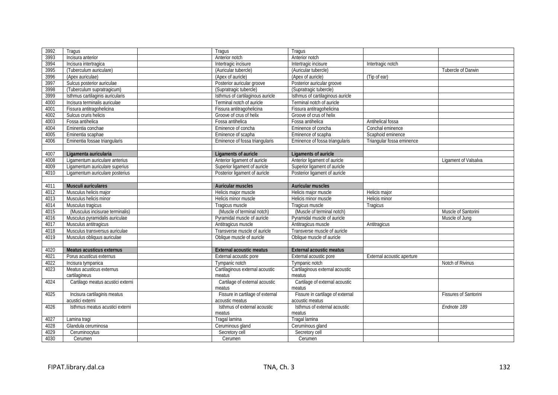| 3992 | Tragus                            | Tragus                           | Tragus                           |                            |                              |
|------|-----------------------------------|----------------------------------|----------------------------------|----------------------------|------------------------------|
| 3993 | Incisura anterior                 | Anterior notch                   | Anterior notch                   |                            |                              |
| 3994 | Incisura intertragica             | Intertragic incisure             | Intertragic incisure             | Intertragic notch          |                              |
| 3995 | (Tuberculum auriculare)           | (Auricular tubercle)             | (Auricular tubercle)             |                            | <b>Tubercle of Darwin</b>    |
| 3996 | (Apex auriculae)                  | (Apex of auricle)                | (Apex of auricle)                | (Tip of ear)               |                              |
| 3997 | Sulcus posterior auriculae        | Posterior auricular groove       | Posterior auricular groove       |                            |                              |
| 3998 | (Tuberculum supratragicum)        | (Supratragic tubercle)           | (Supratragic tubercle)           |                            |                              |
| 3999 | Isthmus cartilaginis auricularis  | Isthmus of cartilaginous auricle | Isthmus of cartilaginous auricle |                            |                              |
| 4000 | Incisura terminalis auriculae     | Terminal notch of auricle        | Terminal notch of auricle        |                            |                              |
| 4001 | Fissura antitragohelicina         | Fissura antitragohelicina        | Fissura antitragohelicina        |                            |                              |
| 4002 | Sulcus cruris helicis             | Groove of crus of helix          | Groove of crus of helix          |                            |                              |
| 4003 | Fossa antihelica                  | Fossa antihelica                 | Fossa antihelica                 | Antihelical fossa          |                              |
| 4004 | Eminentia conchae                 | Eminence of concha               | Eminence of concha               | Conchal eminence           |                              |
| 4005 | Eminentia scaphae                 | Eminence of scapha               | Eminence of scapha               | Scaphoid eminence          |                              |
| 4006 | Eminentia fossae triangularis     | Eminence of fossa triangularis   | Eminence of fossa triangularis   | Triangular fossa eminence  |                              |
|      |                                   |                                  |                                  |                            |                              |
| 4007 | Ligamenta auricularia             | Ligaments of auricle             | <b>Ligaments of auricle</b>      |                            |                              |
| 4008 | Ligamentum auriculare anterius    | Anterior ligament of auricle     | Anterior ligament of auricle     |                            | Ligament of Valsalva         |
| 4009 | Ligamentum auriculare superius    | Superior ligament of auricle     | Superior ligament of auricle     |                            |                              |
| 4010 | Ligamentum auriculare posterius   | Posterior ligament of auricle    | Posterior ligament of auricle    |                            |                              |
|      |                                   |                                  |                                  |                            |                              |
| 4011 | Musculi auriculares               | <b>Auricular muscles</b>         | Auricular muscles                |                            |                              |
| 4012 | Musculus helicis major            | Helicis major muscle             | Helicis major muscle             | Helicis major              |                              |
| 4013 | Musculus helicis minor            | Helicis minor muscle             | Helicis minor muscle             | <b>Helicis minor</b>       |                              |
| 4014 | Musculus tragicus                 | Tragicus muscle                  | Tragicus muscle                  | Tragicus                   |                              |
| 4015 | (Musculus incisurae terminalis)   | (Muscle of terminal notch)       | (Muscle of terminal notch)       |                            | Muscle of Santorini          |
| 4016 | Musculus pyramidalis auriculae    | Pyramidal muscle of auricle      | Pyramidal muscle of auricle      |                            | Muscle of Jung               |
| 4017 | Musculus antitragicus             | Antitragicus muscle              | Antitragicus muscle              | Antitragicus               |                              |
| 4018 | Musculus transversus auriculae    | Transverse muscle of auricle     | Transverse muscle of auricle     |                            |                              |
| 4019 | Musculus obliquus auriculae       | Oblique muscle of auricle        | Oblique muscle of auricle        |                            |                              |
|      |                                   |                                  |                                  |                            |                              |
| 4020 | Meatus acusticus externus         | <b>External acoustic meatus</b>  | <b>External acoustic meatus</b>  |                            |                              |
| 4021 | Porus acusticus externus          | External acoustic pore           | External acoustic pore           | External acoustic aperture |                              |
| 4022 | Incisura tympanica                | Tympanic notch                   | Tympanic notch                   |                            | Notch of Rivinus             |
| 4023 | Meatus acusticus externus         | Cartilaginous external acoustic  | Cartilaginous external acoustic  |                            |                              |
|      | cartilagineus                     | meatus                           | meatus                           |                            |                              |
| 4024 | Cartilago meatus acustici externi | Cartilage of external acoustic   | Cartilage of external acoustic   |                            |                              |
|      |                                   | meatus                           | meatus                           |                            |                              |
| 4025 | Incisura cartilaginis meatus      | Fissure in cartilage of external | Fissure in cartilage of external |                            | <b>Fissures of Santorini</b> |
|      | acustici externi                  | acoustic meatus                  | acoustic meatus                  |                            |                              |
| 4026 | Isthmus meatus acustici externi   | Isthmus of external acoustic     | Isthmus of external acoustic     |                            | Endnote 189                  |
|      |                                   | meatus                           | meatus                           |                            |                              |
| 4027 | Lamina tragi                      | Tragal lamina                    | Tragal lamina                    |                            |                              |
| 4028 | Glandula ceruminosa               | Ceruminous gland                 | Ceruminous gland                 |                            |                              |
| 4029 | Ceruminocytus                     | Secretory cell                   | Secretory cell                   |                            |                              |
| 4030 | Cerumen                           | Cerumen                          | Cerumen                          |                            |                              |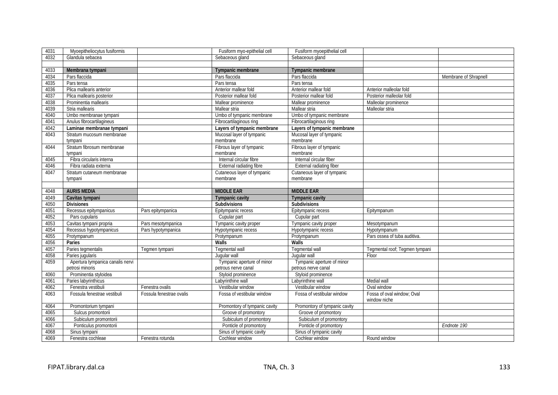| 4031         | Myoepitheliocytus fusiformis       |                          | Fusiform myo-epithelial cell                | Fusiform myoepithelial cell                 |                                |                       |
|--------------|------------------------------------|--------------------------|---------------------------------------------|---------------------------------------------|--------------------------------|-----------------------|
| 4032         | Glandula sebacea                   |                          | Sebaceous gland                             | Sebaceous gland                             |                                |                       |
|              |                                    |                          |                                             |                                             |                                |                       |
| 4033         | Membrana tympani                   |                          | Tympanic membrane                           | <b>Tympanic membrane</b>                    |                                |                       |
| 4034         | Pars flaccida                      |                          | Pars flaccida                               | Pars flaccida                               |                                | Membrane of Shrapnell |
| 4035         | Pars tensa                         |                          | Pars tensa                                  | Pars tensa                                  |                                |                       |
| 4036         | Plica mallearis anterior           |                          | Anterior mallear fold                       | Anterior mallear fold                       | Anterior malleolar fold        |                       |
| 4037         | Plica mallearis posterior          |                          | Posterior mallear fold                      | Posterior mallear fold                      | Posterior malleolar fold       |                       |
| 4038         | Prominentia mallearis              |                          | Mallear prominence                          | Mallear prominence                          | Malleolar prominence           |                       |
| 4039         | Stria mallearis                    |                          | Mallear stria                               | Mallear stria                               | Malleolar stria                |                       |
| 4040         | Umbo membranae tympani             |                          | Umbo of tympanic membrane                   | Umbo of tympanic membrane                   |                                |                       |
| 4041         | Anulus fibrocartilagineus          |                          | Fibrocartilaginous ring                     | Fibrocartilaginous ring                     |                                |                       |
| 4042         | Laminae membranae tympani          |                          | Layers of tympanic membrane                 | Layers of tympanic membrane                 |                                |                       |
| 4043         | Stratum mucosum membranae          |                          | Mucosal layer of tympanic                   | Mucosal layer of tympanic                   |                                |                       |
|              | tympani                            |                          | membrane                                    | membrane                                    |                                |                       |
| 4044         | Stratum fibrosum membranae         |                          | Fibrous layer of tympanic                   | Fibrous layer of tympanic                   |                                |                       |
|              | tympani                            |                          | membrane                                    | membrane                                    |                                |                       |
| 4045         | Fibra circularis interna           |                          | Internal circular fibre                     | Internal circular fiber                     |                                |                       |
| 4046         | Fibra radiata externa              |                          | External radiating fibre                    | <b>External radiating fiber</b>             |                                |                       |
| 4047         | Stratum cutaneum membranae         |                          | Cutaneous layer of tympanic                 | Cutaneous layer of tympanic                 |                                |                       |
|              | tympani                            |                          | membrane                                    | membrane                                    |                                |                       |
|              |                                    |                          |                                             |                                             |                                |                       |
| 4048         | <b>AURIS MEDIA</b>                 |                          | <b>MIDDLE EAR</b>                           | <b>MIDDLE EAR</b>                           |                                |                       |
|              |                                    |                          |                                             |                                             |                                |                       |
| 4049         | Cavitas tympani                    |                          | <b>Tympanic cavity</b>                      | <b>Tympanic cavity</b>                      |                                |                       |
| 4050         | <b>Divisiones</b>                  |                          | Subdivisions                                | Subdivisions                                |                                |                       |
| 4051         | Recessus epitympanicus             | Pars epitympanica        | Epitympanic recess                          | Epitympanic recess                          | Epitympanum                    |                       |
| 4052         | Pars cupularis                     |                          | Cupular part                                | Cupular part                                |                                |                       |
| 4053         | Cavitas tympani propria            | Pars mesotympanica       | Tympanic cavity proper                      | Tympanic cavity proper                      | Mesotympanum                   |                       |
| 4054         | Recessus hypotympanicus            | Pars hypotympanica       | Hypotympanic recess                         | Hypotympanic recess                         | Hypotympanum                   |                       |
| 4055         | Protympanum                        |                          | Protympanum                                 | Protympanum                                 | Pars ossea of tuba auditiva.   |                       |
| 4056         | Paries                             |                          | Walls                                       | Walls                                       |                                |                       |
| 4057         | Paries tegmentalis                 | Tegmen tympani           | <b>Tegmental wall</b>                       | Tegmental wall                              | Tegmental roof; Tegmen tympani |                       |
| 4058         | Paries jugularis                   |                          | Jugular wall                                | Jugular wall                                | Floor                          |                       |
| 4059         | Apertura tympanica canalis nervi   |                          | Tympanic aperture of minor                  | Tympanic aperture of minor                  |                                |                       |
|              | petrosi minoris                    |                          | petrous nerve canal                         | petrous nerve canal                         |                                |                       |
| 4060         | Prominentia styloidea              |                          | Styloid prominence                          | Styloid prominence                          |                                |                       |
| 4061         | Paries labyrinthicus               |                          | Labyrinthine wall                           | Labyrinthine wall                           | Medial wall                    |                       |
| 4062         | Fenestra vestibuli                 | Fenestra ovalis          | Vestibular window                           | Vestibular window                           | Oval window                    |                       |
| 4063         | Fossula fenestrae vestibuli        | Fossula fenestrae ovalis | Fossa of vestibular window                  | Fossa of vestibular window                  | Fossa of oval window; Oval     |                       |
|              |                                    |                          |                                             |                                             | window niche                   |                       |
| 4064         | Promontorium tympani               |                          | Promontory of tympanic cavity               | Promontory of tympanic cavity               |                                |                       |
| 4065         | Sulcus promontorii                 |                          | Groove of promontory                        | Groove of promontory                        |                                |                       |
| 4066         | Subiculum promontorii              |                          | Subiculum of promontory                     | Subiculum of promontory                     |                                |                       |
| 4067         | Ponticulus promontorii             |                          | Ponticle of promontory                      | Ponticle of promontory                      |                                | Endnote 190           |
| 4068<br>4069 | Sinus tympani<br>Fenestra cochleae |                          | Sinus of tympanic cavity<br>Cochlear window | Sinus of tympanic cavity<br>Cochlear window | Round window                   |                       |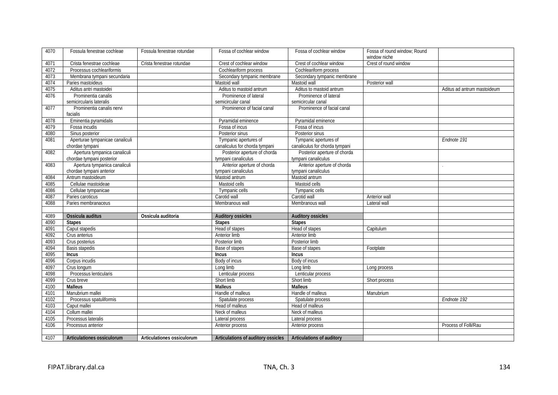| 4070 | Fossula fenestrae cochleae      | Fossula fenestrae rotundae | Fossa of cochlear window           | Fossa of cochlear window       | Fossa of round window; Round |                             |
|------|---------------------------------|----------------------------|------------------------------------|--------------------------------|------------------------------|-----------------------------|
|      |                                 |                            |                                    |                                | window niche                 |                             |
| 4071 | Crista fenestrae cochleae       | Crista fenestrae rotundae  | Crest of cochlear window           | Crest of cochlear window       | Crest of round window        |                             |
| 4072 | Processus cochleariformis       |                            | Cochleariform process              | Cochleariform process          |                              |                             |
| 4073 | Membrana tympani secundaria     |                            | Secondary tympanic membrane        | Secondary tympanic membrane    |                              |                             |
| 4074 | Paries mastoideus               |                            | Mastoid wall                       | Mastoid wall                   | Posterior wall               |                             |
| 4075 | Aditus antri mastoidei          |                            | Aditus to mastoid antrum           | Aditus to mastoid antrum       |                              | Aditus ad antrum mastoideum |
| 4076 | Prominentia canalis             |                            | Prominence of lateral              | Prominence of lateral          |                              |                             |
|      | semicircularis lateralis        |                            | semicircular canal                 | semicircular canal             |                              |                             |
| 4077 | Prominentia canalis nervi       |                            | Prominence of facial canal         | Prominence of facial canal     |                              |                             |
|      | facialis                        |                            |                                    |                                |                              |                             |
| 4078 | Eminentia pyramidalis           |                            | Pyramidal eminence                 | Pyramidal eminence             |                              |                             |
| 4079 | Fossa incudis                   |                            | Fossa of incus                     | Fossa of incus                 |                              |                             |
| 4080 | Sinus posterior                 |                            | Posterior sinus                    | Posterior sinus                |                              |                             |
| 4081 | Aperturae tympanicae canaliculi |                            | Tympanic apertures of              | Tympanic apertures of          |                              | Endnote 191                 |
|      | chordae tympani                 |                            | canaliculus for chorda tympani     | canaliculus for chorda tympani |                              |                             |
| 4082 | Apertura tympanica canaliculi   |                            | Posterior aperture of chorda       | Posterior aperture of chorda   |                              |                             |
|      | chordae tympani posterior       |                            | tympani canaliculus                | tympani canaliculus            |                              |                             |
| 4083 | Apertura tympanica canaliculi   |                            | Anterior aperture of chorda        | Anterior aperture of chorda    |                              |                             |
|      | chordae tympani anterior        |                            | tympani canaliculus                | tympani canaliculus            |                              |                             |
| 4084 | Antrum mastoideum               |                            | Mastoid antrum                     | Mastoid antrum                 |                              |                             |
| 4085 | Cellulae mastoideae             |                            | Mastoid cells                      | Mastoid cells                  |                              |                             |
| 4086 | Cellulae tympanicae             |                            | Tympanic cells                     | Tympanic cells                 |                              |                             |
| 4087 | Paries caroticus                |                            | Carotid wall                       | Carotid wall                   | Anterior wall                |                             |
| 4088 | Paries membranaceus             |                            | Membranous wall                    | Membranous wall                | Lateral wall                 |                             |
|      |                                 |                            |                                    |                                |                              |                             |
| 4089 | Ossicula auditus                | Ossicula auditoria         | <b>Auditory ossicles</b>           | <b>Auditory ossicles</b>       |                              |                             |
| 4090 | <b>Stapes</b>                   |                            | <b>Stapes</b>                      | <b>Stapes</b>                  |                              |                             |
| 4091 | Caput stapedis                  |                            | Head of stapes                     | Head of stapes                 | Capitulum                    |                             |
| 4092 | Crus anterius                   |                            | Anterior limb                      | Anterior limb                  |                              |                             |
| 4093 | Crus posterius                  |                            | Posterior limb                     | Posterior limb                 |                              |                             |
| 4094 | Basis stapedis                  |                            | Base of stapes                     | Base of stapes                 | Footplate                    |                             |
| 4095 | <b>Incus</b>                    |                            | <b>Incus</b>                       | <b>Incus</b>                   |                              |                             |
| 4096 | Corpus incudis                  |                            | Body of incus                      | Body of incus                  |                              |                             |
| 4097 | Crus longum                     |                            | Long limb                          | Long limb                      | Long process                 |                             |
| 4098 | Processus lenticularis          |                            | Lenticular process                 | Lenticular process             |                              |                             |
| 4099 | Crus breve                      |                            | Short limb                         | Short limb                     | Short process                |                             |
| 4100 | <b>Malleus</b>                  |                            | <b>Malleus</b>                     | <b>Malleus</b>                 |                              |                             |
| 4101 | Manubrium mallei                |                            | Handle of malleus                  | Handle of malleus              | Manubrium                    |                             |
| 4102 | Processus spatuliformis         |                            | Spatulate process                  | Spatulate process              |                              | Endnote 192                 |
| 4103 | Caput mallei                    |                            | Head of malleus                    | Head of malleus                |                              |                             |
| 4104 | Collum mallei                   |                            | Neck of malleus                    | Neck of malleus                |                              |                             |
| 4105 | Processus lateralis             |                            | Lateral process                    | Lateral process                |                              |                             |
| 4106 | Processus anterior              |                            | Anterior process                   | Anterior process               |                              | Process of Folli/Rau        |
|      |                                 |                            |                                    |                                |                              |                             |
| 4107 | Articulationes ossiculorum      | Articulationes ossiculorum | Articulations of auditory ossicles | Articulations of auditory      |                              |                             |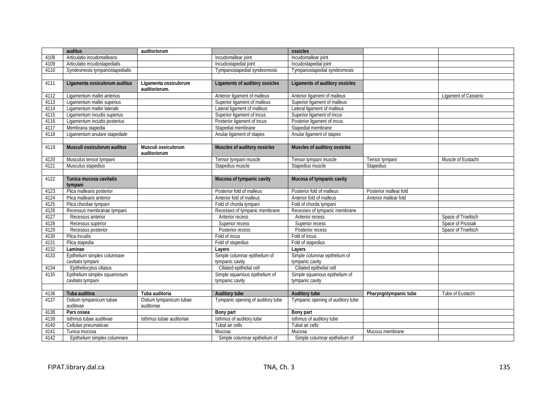|      | auditus                              | auditoriorum                           |                                   | ossicles                          |                        |                      |
|------|--------------------------------------|----------------------------------------|-----------------------------------|-----------------------------------|------------------------|----------------------|
| 4108 | Articulatio incudomallearis          |                                        | Incudomallear joint               | Incudomallear joint               |                        |                      |
| 4109 | Articulatio incudostapedialis        |                                        | Incudostapedial joint             | Incudostapedial joint             |                        |                      |
| 4110 | Syndesmosis tympanostapedialis       |                                        | Tympanostapedial syndesmosis      | Tympanostapedial syndesmosis      |                        |                      |
|      |                                      |                                        |                                   |                                   |                        |                      |
| 4111 | Ligamenta ossiculorum auditus        | Ligamenta ossiculorum<br>auditoriorum. | Ligaments of auditory ossicles    | Ligaments of auditory ossicles    |                        |                      |
| 4112 | Ligamentum mallei anterius           |                                        | Anterior ligament of malleus      | Anterior ligament of malleus      |                        | Ligament of Casserio |
| 4113 | Ligamentum mallei superius           |                                        | Superior ligament of malleus      | Superior ligament of malleus      |                        |                      |
| 4114 | Ligamentum mallei laterale           |                                        | Lateral ligament of malleus       | Lateral ligament of malleus       |                        |                      |
| 4115 | Ligamentum incudis superius          |                                        | Superior ligament of incus        | Superior ligament of incus        |                        |                      |
| 4116 | Ligamentum incudis posterius         |                                        | Posterior ligament of incus       | Posterior ligament of incus       |                        |                      |
| 4117 | Membrana stapedia                    |                                        | Stapedial membrane                | Stapedial membrane                |                        |                      |
| 4118 | Ligamentum anulare stapediale        |                                        | Anular ligament of stapes         | Anular ligament of stapes         |                        |                      |
|      |                                      |                                        |                                   |                                   |                        |                      |
| 4119 | Musculi ossiculorum auditus          | Musculi ossiculorum<br>auditoriorum    | Muscles of auditory ossicles      | Muscles of auditory ossicles      |                        |                      |
| 4120 | Musculus tensor tympani              |                                        | Tensor tympani muscle             | Tensor tympani muscle             | Tensor tympani         | Muscle of Eustachi   |
| 4121 | Musculus stapedius                   |                                        | Stapedius muscle                  | Stapedius muscle                  | Stapedius              |                      |
|      |                                      |                                        |                                   |                                   |                        |                      |
| 4122 | Tunica mucosa cavitatis              |                                        | Mucosa of tympanic cavity         | Mucosa of tympanic cavity         |                        |                      |
|      | tympani                              |                                        |                                   |                                   |                        |                      |
| 4123 | Plica mallearis posterior            |                                        | Posterior fold of malleus         | Posterior fold of malleus         | Posterior mallear fold |                      |
| 4124 | Plica mallearis anterior             |                                        | Anterior fold of malleus          | Anterior fold of malleus          | Anterior mallear fold  |                      |
| 4125 | Plica chordae tympani                |                                        | Fold of chorda tympani            | Fold of chorda tympani            |                        |                      |
| 4126 | Recessus membranae tympani           |                                        | Recesses of tympanic membrane     | Recesses of tympanic membrane     |                        |                      |
| 4127 | Recessus anterior                    |                                        | Anterior recess                   | Anterior recess                   |                        | Space of Troeltsch   |
| 4128 | Recessus superior                    |                                        | Superior recess                   | Superior recess                   |                        | Space of Prussak     |
| 4129 | Recessus posterior                   |                                        | Posterior recess                  | Posterior recess                  |                        | Space of Troeltsch   |
| 4130 | Plica incudis                        |                                        | Fold of incus                     | Fold of incus                     |                        |                      |
| 4131 | Plica stapedia                       |                                        | Fold of stapedius                 | Fold of stapedius                 |                        |                      |
| 4132 | Laminae                              |                                        | Layers                            | Layers                            |                        |                      |
| 4133 | Epithelium simplex columnare         |                                        | Simple columnar epithelium of     | Simple columnar epithelium of     |                        |                      |
|      | cavitatis tympani                    |                                        | tympanic cavity                   | tympanic cavity                   |                        |                      |
| 4134 | Epitheliocytus ciliatus              |                                        | Ciliated epithelial cell          | Ciliated epithelial cell          |                        |                      |
| 4135 | Epithelium simplex squamosum         |                                        | Simple squamous epithelium of     | Simple squamous epithelium of     |                        |                      |
|      | cavitatis tympani                    |                                        | tympanic cavity                   | tympanic cavity                   |                        |                      |
|      |                                      |                                        |                                   |                                   |                        |                      |
| 4136 | Tuba auditiva                        | Tuba auditoria                         | Auditory tube                     | <b>Auditory tube</b>              | Pharyngotympanic tube  | Tube of Eustachi     |
| 4137 | Ostium tympanicum tubae<br>auditivae | Ostium tympanicum tubae<br>auditoriae  | Tympanic opening of auditory tube | Tympanic opening of auditory tube |                        |                      |
| 4138 | Pars ossea                           |                                        | Bony part                         | Bony part                         |                        |                      |
| 4139 | Isthmus tubae auditivae              | Isthmus tubae auditoriae               | Isthmus of auditory tube          | Isthmus of auditory tube          |                        |                      |
| 4140 | Cellulae pneumaticae                 |                                        | Tubal air cells                   | Tubal air cells                   |                        |                      |
| 4141 | Tunica mucosa                        |                                        | Mucosa                            | Mucosa                            | Mucous membrane        |                      |
| 4142 | Epithelium simplex columnare         |                                        | Simple columnar epithelium of     | Simple columnar epithelium of     |                        |                      |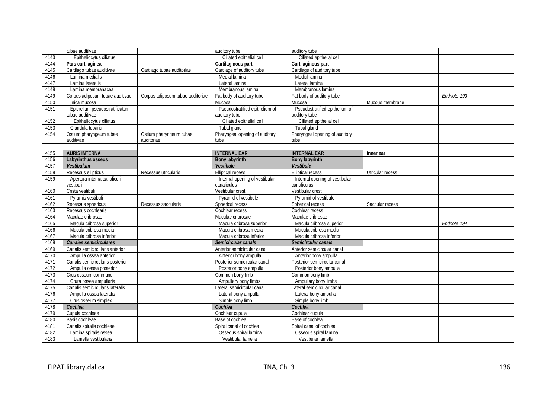|      | tubae auditivae                  |                                  | auditory tube                  | auditory tube                  |                  |             |
|------|----------------------------------|----------------------------------|--------------------------------|--------------------------------|------------------|-------------|
| 4143 | Epitheliocytus ciliatus          |                                  | Ciliated epithelial cell       | Ciliated epithelial cell       |                  |             |
| 4144 | Pars cartilaginea                |                                  | Cartilaginous part             | Cartilaginous part             |                  |             |
| 4145 | Cartilago tubae auditivae        | Cartilago tubae auditoriae       | Cartilage of auditory tube     | Cartilage of auditory tube     |                  |             |
| 4146 | Lamina medialis                  |                                  | Medial lamina                  | Medial lamina                  |                  |             |
| 4147 | Lamina lateralis                 |                                  | Lateral lamina                 | Lateral lamina                 |                  |             |
| 4148 | Lamina membranacea               |                                  | Membranous lamina              | Membranous lamina              |                  |             |
| 4149 | Corpus adiposum tubae auditivae  | Corpus adiposum tubae auditoriae | Fat body of auditory tube      | Fat body of auditory tube      |                  | Endnote 193 |
| 4150 | Tunica mucosa                    |                                  | Mucosa                         | Mucosa                         | Mucous membrane  |             |
| 4151 | Epithelium pseudostratificatum   |                                  | Pseudostratified epithelium of | Pseudostratified epithelium of |                  |             |
|      | tubae auditivae                  |                                  | auditory tube                  | auditory tube                  |                  |             |
| 4152 | Epitheliocytus ciliatus          |                                  | Ciliated epithelial cell       | Ciliated epithelial cell       |                  |             |
| 4153 | Glandula tubaria                 |                                  | Tubal gland                    | Tubal gland                    |                  |             |
| 4154 | Ostium pharyngeum tubae          | Ostium pharyngeum tubae          | Pharyngeal opening of auditory | Pharyngeal opening of auditory |                  |             |
|      | auditivae                        | auditoriae                       | tube                           | tube                           |                  |             |
|      |                                  |                                  |                                |                                |                  |             |
| 4155 | <b>AURIS INTERNA</b>             |                                  | <b>INTERNAL EAR</b>            | <b>INTERNAL EAR</b>            | Inner ear        |             |
| 4156 | Labyrinthus osseus               |                                  | <b>Bony labyrinth</b>          | <b>Bony labyrinth</b>          |                  |             |
| 4157 | <b>Vestibulum</b>                |                                  | Vestibule                      | <b>Vestibule</b>               |                  |             |
| 4158 | Recessus ellipticus              | Recessus utricularis             | <b>Elliptical recess</b>       | <b>Elliptical recess</b>       | Utricular recess |             |
| 4159 | Apertura interna canaliculi      |                                  | Internal opening of vestibular | Internal opening of vestibular |                  |             |
|      | vestibuli                        |                                  | canaliculus                    | canaliculus                    |                  |             |
| 4160 | Crista vestibuli                 |                                  | Vestibular crest               | Vestibular crest               |                  |             |
| 4161 | Pyramis vestibuli                |                                  | Pyramid of vestibule           | Pyramid of vestibule           |                  |             |
| 4162 | Recessus sphericus               | Recessus saccularis              | Spherical recess               | Spherical recess               | Saccular recess  |             |
| 4163 | Recessus cochlearis              |                                  | Cochlear recess                | Cochlear recess                |                  |             |
| 4164 | Maculae cribrosae                |                                  | Maculae cribrosae              | Maculae cribrosae              |                  |             |
| 4165 | Macula cribrosa superior         |                                  | Macula cribrosa superior       | Macula cribrosa superior       |                  | Endnote 194 |
| 4166 | Macula cribrosa media            |                                  | Macula cribrosa media          | Macula cribrosa media          |                  |             |
| 4167 | Macula cribrosa inferior         |                                  | Macula cribrosa inferior       | Macula cribrosa inferior       |                  |             |
| 4168 | <b>Canales semicirculares</b>    |                                  | Semicircular canals            | Semicircular canals            |                  |             |
| 4169 | Canalis semicircularis anterior  |                                  | Anterior semicircular canal    | Anterior semicircular canal    |                  |             |
| 4170 | Ampulla ossea anterior           |                                  | Anterior bony ampulla          | Anterior bony ampulla          |                  |             |
| 4171 | Canalis semicircularis posterior |                                  | Posterior semicircular canal   | Posterior semicircular canal   |                  |             |
| 4172 | Ampulla ossea posterior          |                                  | Posterior bony ampulla         | Posterior bony ampulla         |                  |             |
| 4173 | Crus osseum commune              |                                  | Common bony limb               | Common bony limb               |                  |             |
| 4174 | Crura ossea ampullaria           |                                  | Ampullary bony limbs           | Ampullary bony limbs           |                  |             |
| 4175 | Canalis semicircularis lateralis |                                  | Lateral semicircular canal     | Lateral semicircular canal     |                  |             |
| 4176 | Ampulla ossea lateralis          |                                  | Lateral bony ampulla           | Lateral bony ampulla           |                  |             |
| 4177 | Crus osseum simplex              |                                  | Simple bony limb               | Simple bony limb               |                  |             |
| 4178 | Cochlea                          |                                  | Cochlea                        | Cochlea                        |                  |             |
| 4179 | Cupula cochleae                  |                                  | Cochlear cupula                | Cochlear cupula                |                  |             |
| 4180 | Basis cochleae                   |                                  | Base of cochlea                | Base of cochlea                |                  |             |
| 4181 | Canalis spiralis cochleae        |                                  | Spiral canal of cochlea        | Spiral canal of cochlea        |                  |             |
| 4182 | Lamina spiralis ossea            |                                  | Osseous spiral lamina          | Osseous spiral lamina          |                  |             |
| 4183 | Lamella vestibularis             |                                  | Vestibular lamella             | Vestibular lamella             |                  |             |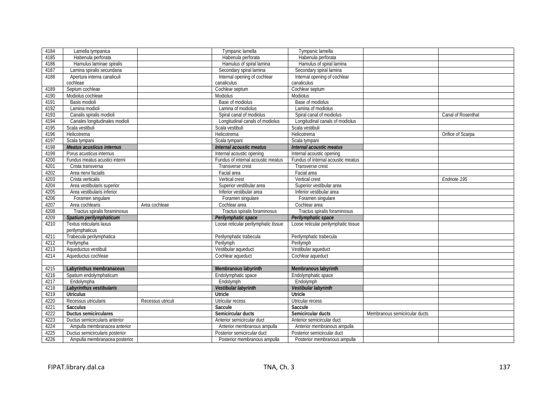| 4184 | Lamella tympanica               |                   | Tympanic lamella                     | Tympanic lamella                     |                               |                    |
|------|---------------------------------|-------------------|--------------------------------------|--------------------------------------|-------------------------------|--------------------|
| 4185 | Habenula perforata              |                   | Habenula perforata                   | Habenula perforata                   |                               |                    |
| 4186 | Hamulus laminae spiralis        |                   | Hamulus of spiral lamina             | Hamulus of spiral lamina             |                               |                    |
| 4187 | Lamina spiralis secundaria      |                   | Secondary spiral lamina              | Secondary spiral lamina              |                               |                    |
| 4188 | Apertura interna canaliculi     |                   | Internal opening of cochlear         | Internal opening of cochlear         |                               |                    |
|      | cochleae                        |                   | canaliculus                          | canaliculus                          |                               |                    |
| 4189 | Septum cochleae                 |                   | Cochlear septum                      | Cochlear septum                      |                               |                    |
| 4190 | Modiolus cochleae               |                   | Modiolus                             | Modiolus                             |                               |                    |
| 4191 | Basis modioli                   |                   | Base of modiolus                     | Base of modiolus                     |                               |                    |
| 4192 | Lamina modioli                  |                   | Lamina of modiolus                   | Lamina of modiolus                   |                               |                    |
| 4193 | Canalis spiralis modioli        |                   | Spiral canal of modiolus             | Spiral canal of modiolus             |                               | Canal of Rosenthal |
| 4194 | Canales longitudinales modioli  |                   | Longitudinal canals of modiolus      | Longitudinal canals of modiolus      |                               |                    |
| 4195 | Scala vestibuli                 |                   | Scala vestibuli                      | Scala vestibuli                      |                               |                    |
| 4196 | Helicotrema                     |                   | Helicotrema                          | Helicotrema                          |                               | Orifice of Scarpa  |
| 4197 | Scala tympani                   |                   | Scala tympani                        | Scala tympani                        |                               |                    |
| 4198 | Meatus acusticus internus       |                   | Internal acoustic meatus             | Internal acoustic meatus             |                               |                    |
| 4199 | Porus acusticus internus        |                   | Internal acoustic opening            | Internal acoustic opening            |                               |                    |
| 4200 | Fundus meatus acustici interni  |                   | Fundus of internal acoustic meatus   | Fundus of internal acoustic meatus   |                               |                    |
| 4201 | Crista transversa               |                   | Transverse crest                     | Transverse crest                     |                               |                    |
| 4202 | Area nervi facialis             |                   | Facial area                          | Facial area                          |                               |                    |
| 4203 | Crista verticalis               |                   | Vertical crest                       | Vertical crest                       |                               | Endnote 195        |
| 4204 | Area vestibularis superior      |                   | Superior vestibular area             | Superior vestibular area             |                               |                    |
| 4205 | Area vestibularis inferior      |                   | Inferior vestibular area             | Inferior vestibular area             |                               |                    |
| 4206 | Foramen singulare               |                   | Foramen singulare                    | Foramen singulare                    |                               |                    |
| 4207 | Area cochlearis                 | Area cochleae     | Cochlear area                        | Cochlear area                        |                               |                    |
| 4208 | Tractus spiralis foraminosus    |                   | Tractus spiralis foraminosus         | Tractus spiralis foraminosus         |                               |                    |
| 4209 | Spatium perilymphaticum         |                   | Perilymphatic space                  | Perilymphatic space                  |                               |                    |
| 4210 | Textus reticularis laxus        |                   | Loose reticular perilymphatic tissue | Loose reticular perilymphatic tissue |                               |                    |
|      | perilymphaticus                 |                   |                                      |                                      |                               |                    |
| 4211 | Trabecula perilymphatica        |                   | Perilymphatic trabecula              | Perilymphatic trabecula              |                               |                    |
| 4212 | Perilympha                      |                   | Perilymph                            | Perilymph                            |                               |                    |
| 4213 | Aqueductus vestibuli            |                   | Vestibular aqueduct                  | Vestibular aqueduct                  |                               |                    |
| 4214 | Aqueductus cochleae             |                   | Cochlear aqueduct                    | Cochlear aqueduct                    |                               |                    |
|      |                                 |                   |                                      |                                      |                               |                    |
| 4215 | Labyrinthus membranaceus        |                   | Membranous labyrinth                 | Membranous labyrinth                 |                               |                    |
| 4216 | Spatium endolymphaticum         |                   | Endolymphatic space                  | Endolymphatic space                  |                               |                    |
| 4217 | Endolympha                      |                   | Endolymph                            | Endolymph                            |                               |                    |
| 4218 | Labyrinthus vestibularis        |                   | Vestibular labyrinth                 | Vestibular labyrinth                 |                               |                    |
| 4219 | <b>Utriculus</b>                |                   | Utricle                              | Utricle                              |                               |                    |
| 4220 | Recessus utricularis            | Recessus utriculi | Utricular recess                     | Utricular recess                     |                               |                    |
| 4221 | <b>Sacculus</b>                 |                   | Saccule                              | Saccule                              |                               |                    |
| 4222 | <b>Ductus semicirculares</b>    |                   | Semicircular ducts                   | Semicircular ducts                   | Membranous semicircular ducts |                    |
| 4223 | Ductus semicircularis anterior  |                   | Anterior semicircular duct           | Anterior semicircular duct           |                               |                    |
| 4224 | Ampulla membranacea anterior    |                   | Anterior membranous ampulla          | Anterior membranous ampulla          |                               |                    |
| 4225 | Ductus semicircularis posterior |                   | Posterior semicircular duct          | Posterior semicircular duct          |                               |                    |
| 4226 | Ampulla membranacea posterior   |                   | Posterior membranous ampulla         | Posterior membranous ampulla         |                               |                    |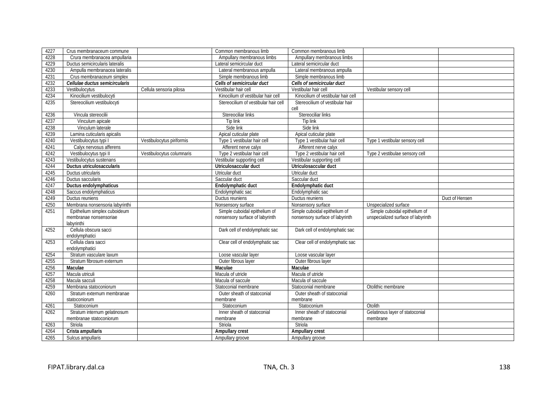| 4227         | Crus membranaceum commune                              |                           | Common membranous limb                                           | Common membranous limb                                           |                                                                     |                |
|--------------|--------------------------------------------------------|---------------------------|------------------------------------------------------------------|------------------------------------------------------------------|---------------------------------------------------------------------|----------------|
| 4228         | Crura membranacea ampullaria                           |                           | Ampullary membranous limbs                                       | Ampullary membranous limbs                                       |                                                                     |                |
| 4229         | Ductus semicircularis lateralis                        |                           | Lateral semicircular duct                                        | Lateral semicircular duct                                        |                                                                     |                |
| 4230         | Ampulla membranacea lateralis                          |                           | Lateral membranous ampulla                                       | Lateral membranous ampulla                                       |                                                                     |                |
| 4231         | Crus membranaceum simplex                              |                           | Simple membranous limb                                           | Simple membranous limb                                           |                                                                     |                |
| 4232         | Cellulae ductus semicircularis                         |                           | Cells of semicircular duct                                       | Cells of semicircular duct                                       |                                                                     |                |
| 4233         | Vestibulocytus                                         | Cellula sensoria pilosa   | Vestibular hair cell                                             | Vestibular hair cell                                             | Vestibular sensory cell                                             |                |
| 4234         | Kinocilium vestibulocyti                               |                           | Kinocilium of vestibular hair cell                               | Kinocilium of vestibular hair cell                               |                                                                     |                |
| 4235         | Stereocilium vestibulocyti                             |                           | Stereocilium of vestibular hair cell                             | Stereocilium of vestibular hair                                  |                                                                     |                |
|              |                                                        |                           |                                                                  | cell                                                             |                                                                     |                |
| 4236         | Vincula stereocilii                                    |                           | Stereociliar links                                               | Stereociliar links                                               |                                                                     |                |
| 4237         | Vinculum apicale                                       |                           | Tip link                                                         | Tip link                                                         |                                                                     |                |
| 4238         | Vinculum laterale                                      |                           | Side link                                                        | Side link                                                        |                                                                     |                |
| 4239         | Lamina cuticularis apicalis                            |                           | Apical cuticular plate                                           | Apical cuticular plate                                           |                                                                     |                |
| 4240         | Vestibulocytus typi I                                  | Vestibulocytus piriformis | Type 1 vestibular hair cell                                      | Type 1 vestibular hair cell                                      | Type 1 vestibular sensory cell                                      |                |
| 4241         | Calyx nervosus afferens                                |                           | Afferent nerve calyx                                             | Afferent nerve calyx                                             |                                                                     |                |
| 4242         | Vestibulocytus typi II                                 | Vestibulocytus columnaris | Type 2 vestibular hair cell                                      | Type 2 vestibular hair cell                                      | Type 2 vestibulae sensory cell                                      |                |
| 4243         | Vestibulocytus sustenans                               |                           | Vestibular supporting cell                                       | Vestibular supporting cell                                       |                                                                     |                |
| 4244         | Ductus utriculosaccularis                              |                           | Utriculosaccular duct                                            | Utriculosaccular duct                                            |                                                                     |                |
| 4245         | Ductus utricularis                                     |                           | Utricular duct                                                   | Utricular duct                                                   |                                                                     |                |
| 4246         | Ductus saccularis                                      |                           | Saccular duct                                                    | Saccular duct                                                    |                                                                     |                |
| 4247         | Ductus endolymphaticus                                 |                           | Endolymphatic duct                                               | Endolymphatic duct                                               |                                                                     |                |
| 4248         | Saccus endolymphaticus                                 |                           | Endolymphatic sac                                                | Endolymphatic sac                                                |                                                                     |                |
|              |                                                        |                           |                                                                  |                                                                  |                                                                     |                |
| 4249         | Ductus reuniens                                        |                           | Ductus reuniens                                                  | Ductus reuniens                                                  |                                                                     | Duct of Hensen |
| 4250         | Membrana nonsensoria labyrinthi                        |                           | Nonsensory surface                                               | Nonsensory surface                                               |                                                                     |                |
| 4251         |                                                        |                           |                                                                  |                                                                  | Unspecialized surface                                               |                |
|              | Epithelium simplex cuboideum<br>membranae nonsensoriae |                           | Simple cuboidal epithelium of<br>nonsensory surface of labyrinth | Simple cuboidal epithelium of<br>nonsensory surface of labyrinth | Simple cuboidal epithelium of<br>unspecialized surface of labyrinth |                |
|              | labyrinthi                                             |                           |                                                                  |                                                                  |                                                                     |                |
| 4252         | Cellula obscura sacci                                  |                           | Dark cell of endolymphatic sac                                   | Dark cell of endolymphatic sac                                   |                                                                     |                |
|              | endolymphatici                                         |                           |                                                                  |                                                                  |                                                                     |                |
| 4253         | Cellula clara sacci                                    |                           | Clear cell of endolymphatic sac                                  | Clear cell of endolymphatic sac                                  |                                                                     |                |
|              | endolymphatici                                         |                           |                                                                  |                                                                  |                                                                     |                |
| 4254         | Stratum vasculare laxum                                |                           | Loose vascular layer                                             | Loose vascular layer                                             |                                                                     |                |
| 4255         | Stratum fibrosum externum                              |                           | Outer fibrous layer                                              | Outer fibrous layer                                              |                                                                     |                |
| 4256         | Maculae                                                |                           | Maculae                                                          | <b>Maculae</b>                                                   |                                                                     |                |
| 4257         | Macula utriculi                                        |                           | Macula of utricle                                                | Macula of utricle                                                |                                                                     |                |
| 4258         | Macula sacculi                                         |                           | Macula of saccule                                                | Macula of saccule                                                |                                                                     |                |
| 4259         | Membrana statoconiorum                                 |                           | Statoconial membrane                                             | Statoconial membrane                                             | Otolithic membrane                                                  |                |
| 4260         | Stratum externum membranae                             |                           | Outer sheath of statoconial                                      | Outer sheath of statoconial                                      |                                                                     |                |
|              | statoconiorum                                          |                           | membrane                                                         | membrane                                                         |                                                                     |                |
| 4261         | Statoconium                                            |                           | Statoconium                                                      | Statoconium                                                      | Otolith                                                             |                |
| 4262         | Stratum internum gelatinosum                           |                           | Inner sheath of statoconial                                      | Inner sheath of statoconial                                      | Gelatinous layer of statoconial                                     |                |
|              | membranae statoconiorum                                |                           | membrane                                                         | membrane                                                         | membrane                                                            |                |
| 4263         | Striola                                                |                           | Striola                                                          | Striola                                                          |                                                                     |                |
| 4264<br>4265 | Crista ampullaris<br>Sulcus ampullaris                 |                           | Ampullary crest                                                  | Ampullary crest                                                  |                                                                     |                |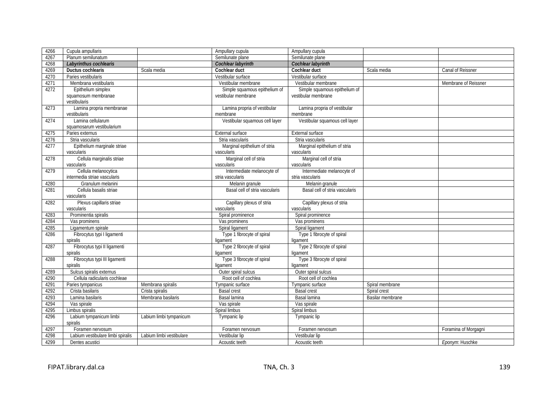| 4266         | Cupula ampullaris                                     |                          | Ampullary cupula                   | Ampullary cupula                       |                         |                      |
|--------------|-------------------------------------------------------|--------------------------|------------------------------------|----------------------------------------|-------------------------|----------------------|
| 4267         | Planum semilunatum                                    |                          | Semilunate plane                   | Semilunate plane                       |                         |                      |
| 4268         | Labyrinthus cochlearis                                |                          | Cochlear labyrinth                 | Cochlear labyrinth                     |                         |                      |
| 4269         | Ductus cochlearis                                     | Scala media              | Cochlear duct                      | Cochlear duct                          | Scala media             | Canal of Reissner    |
| 4270         | Paries vestibularis                                   |                          | Vestibular surface                 | Vestibular surface                     |                         |                      |
| 4271         | Membrana vestibularis                                 |                          | Vestibular membrane                | Vestibular membrane                    |                         | Membrane of Reissner |
| 4272         | Epithelium simplex                                    |                          | Simple squamous epithelium of      | Simple squamous epithelium of          |                         |                      |
|              | squamosum membranae                                   |                          | vestibular membrane                | vestibular membrane                    |                         |                      |
|              | vestibularis                                          |                          |                                    |                                        |                         |                      |
| 4273         | Lamina propria membranae                              |                          | Lamina propria of vestibular       | Lamina propria of vestibular           |                         |                      |
|              | vestibularis                                          |                          | membrane                           | membrane                               |                         |                      |
| 4274         | Lamina cellularum                                     |                          | Vestibular squamous cell layer     | Vestibular squamous cell layer         |                         |                      |
|              | squamosarum vestibularium                             |                          |                                    |                                        |                         |                      |
| 4275         | Paries externus                                       |                          | External surface                   | External surface                       |                         |                      |
| 4276         | Stria vascularis                                      |                          | Stria vascularis                   | Stria vascularis                       |                         |                      |
| 4277         | Epithelium marginale striae                           |                          | Marginal epithelium of stria       | Marginal epithelium of stria           |                         |                      |
|              | vascularis                                            |                          | vascularis                         | vascularis                             |                         |                      |
| 4278         | Cellula marginalis striae                             |                          | Marginal cell of stria             | Marginal cell of stria                 |                         |                      |
|              | vascularis                                            |                          | vascularis                         | vascularis                             |                         |                      |
| 4279         | Cellula melanocytica                                  |                          | Intermediate melanocyte of         | Intermediate melanocyte of             |                         |                      |
|              | intermedia striae vascularis                          |                          | stria vascularis                   | stria vascularis                       |                         |                      |
| 4280         | Granulum melanini                                     |                          | Melanin granule                    | Melanin granule                        |                         |                      |
| 4281         | Cellula basalis striae                                |                          | Basal cell of stria vascularis     | Basal cell of stria vascularis         |                         |                      |
|              | vascularis                                            |                          |                                    |                                        |                         |                      |
| 4282         | Plexus capillaris striae                              |                          | Capillary plexus of stria          | Capillary plexus of stria              |                         |                      |
|              | vascularis                                            |                          | vascularis                         | vascularis                             |                         |                      |
| 4283         | Prominentia spiralis                                  |                          | Spiral prominence                  | Spiral prominence                      |                         |                      |
| 4284         | Vas prominens                                         |                          | Vas prominens                      | Vas prominens                          |                         |                      |
| 4285         | Ligamentum spirale                                    |                          | Spiral ligament                    | Spiral ligament                        |                         |                      |
| 4286         | Fibrocytus typi I ligamenti                           |                          | Type 1 fibrocyte of spiral         | Type 1 fibrocyte of spiral             |                         |                      |
|              | spiralis                                              |                          | ligament                           | ligament                               |                         |                      |
| 4287         | Fibrocytus typi II ligamenti                          |                          | Type 2 fibrocyte of spiral         | Type 2 fibrocyte of spiral             |                         |                      |
|              | spiralis                                              |                          | ligament                           | ligament                               |                         |                      |
| 4288         | Fibrocytus typi III ligamenti                         |                          | Type 3 fibrocyte of spiral         | Type 3 fibrocyte of spiral<br>ligament |                         |                      |
| 4289         | spiralis<br>Sulcus spiralis externus                  |                          | ligament<br>Outer spiral sulcus    | Outer spiral sulcus                    |                         |                      |
|              | Cellula radicularis cochleae                          |                          | Root cell of cochlea               | Root cell of cochlea                   |                         |                      |
| 4290<br>4291 | Paries tympanicus                                     | Membrana spiralis        | Tympanic surface                   | Tympanic surface                       | Spiral membrane         |                      |
| 4292         | Crista basilaris                                      | Crista spiralis          | <b>Basal crest</b>                 | <b>Basal crest</b>                     | Spiral crest            |                      |
|              | Lamina basilaris                                      | Membrana basilaris       | Basal lamina                       | Basal lamina                           |                         |                      |
| 4293         |                                                       |                          |                                    |                                        | <b>Basilar membrane</b> |                      |
| 4294         | Vas spirale                                           |                          | Vas spirale                        | Vas spirale                            |                         |                      |
| 4295<br>4296 | Limbus spiralis                                       |                          | Spiral limbus                      | Spiral limbus                          |                         |                      |
|              | Labium tympanicum limbi<br>spiralis                   | Labium limbi tympanicum  | Tympanic lip                       | Tympanic lip                           |                         |                      |
|              |                                                       |                          |                                    |                                        |                         |                      |
| 4297         | Foramen nervosum<br>Labium vestibulare limbi spiralis |                          | Foramen nervosum<br>Vestibular lip | Foramen nervosum<br>Vestibular lip     |                         | Foramina of Morgagni |
| 4298<br>4299 |                                                       | Labium limbi vestibulare |                                    |                                        |                         |                      |
|              | Dentes acustici                                       |                          | Acoustic teeth                     | Acoustic teeth                         |                         | Eponym: Huschke      |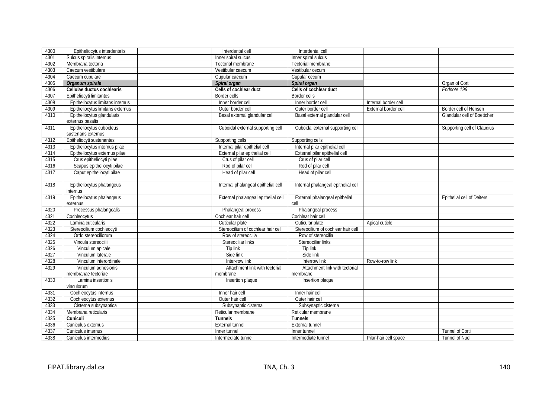| 4300 | Epitheliocytus interdentalis     | Interdental cell                    | Interdental cell                    |                      |                             |
|------|----------------------------------|-------------------------------------|-------------------------------------|----------------------|-----------------------------|
| 4301 | Sulcus spiralis internus         | Inner spiral sulcus                 | Inner spiral sulcus                 |                      |                             |
| 4302 | Membrana tectoria                | Tectorial membrane                  | Tectorial membrane                  |                      |                             |
| 4303 | Caecum vestibulare               | Vestibular caecum                   | Vestibular cecum                    |                      |                             |
| 4304 | Caecum cupulare                  | Cupular caecum                      | Cupular cecum                       |                      |                             |
| 4305 | Organum spirale                  | Spiral organ                        | Spiral organ                        |                      | Organ of Corti              |
| 4306 | Cellulae ductus cochlearis       | Cells of cochlear duct              | Cells of cochlear duct              |                      | Endnote 196                 |
| 4307 | Epitheliocyti limitantes         | Border cells                        | <b>Border cells</b>                 |                      |                             |
| 4308 | Epitheliocytus limitans internus | Inner border cell                   | Inner border cell                   | Internal border cell |                             |
| 4309 | Epitheliocytus limitans externus | Outer border cell                   | Outer border cell                   | External border cell | Border cell of Hensen       |
| 4310 | Epitheliocytus glandularis       | Basal external glandular cell       | Basal external glandular cell       |                      | Glandular cell of Boettcher |
|      | externus basalis                 |                                     |                                     |                      |                             |
| 4311 | Epitheliocytus cuboideus         | Cuboidal external supporting cell   | Cuboidal external supporting cell   |                      | Supporting cell of Claudius |
|      | sustenans externus               |                                     |                                     |                      |                             |
| 4312 | Epitheliocyti sustenantes        | Supporting cells                    | Supporting cells                    |                      |                             |
| 4313 | Epitheliocytus internus pilae    | Internal pilar epithelial cell      | Internal pilar epithelial cell      |                      |                             |
| 4314 | Epitheliocytus externus pilae    | External pilar epithelial cell      | External pilar epithelial cell      |                      |                             |
| 4315 | Crus epitheliocyti pilae         | Crus of pilar cell                  | Crus of pilar cell                  |                      |                             |
| 4316 | Scapus epitheliocyti pilae       | Rod of pilar cell                   | Rod of pilar cell                   |                      |                             |
| 4317 | Caput epitheliocyti pilae        | Head of pilar cell                  | Head of pilar cell                  |                      |                             |
|      |                                  |                                     |                                     |                      |                             |
| 4318 | Epitheliocytus phalangeus        | Internal phalangeal epithelial cell | Internal phalangeal epithelial cell |                      |                             |
|      | internus                         |                                     |                                     |                      |                             |
| 4319 | Epitheliocytus phalangeus        | External phalangeal epithelial cell | External phalangeal epithelial      |                      | Epithelial cell of Deiters  |
|      | externus                         |                                     | cell                                |                      |                             |
|      | Processus phalangealis           |                                     | Phalangeal process                  |                      |                             |
| 4320 |                                  | Phalangeal process                  |                                     |                      |                             |
| 4321 | Cochleocytus                     | Cochlear hair cell                  | Cochlear hair cell                  |                      |                             |
| 4322 | Lamina cuticularis               | Cuticular plate                     | Cuticular plate                     | Apical cuticle       |                             |
| 4323 | Stereocilium cochleocyti         | Stereocilium of cochlear hair cell  | Stereocilium of cochlear hair cell  |                      |                             |
| 4324 | Ordo stereociliorum              | Row of stereocilia                  | Row of stereocilia                  |                      |                             |
| 4325 | Vincula stereocilii              | Stereociliar links                  | Stereociliar links                  |                      |                             |
| 4326 | Vinculum apicale                 | Tip link                            | Tip link                            |                      |                             |
| 4327 | Vinculum laterale                | Side link                           | Side link                           |                      |                             |
| 4328 | Vinculum interordinale           | Inter-row link                      | Interrow link                       | Row-to-row link      |                             |
| 4329 | Vinculum adhesionis              | Attachment link with tectorial      | Attachment link with tectorial      |                      |                             |
|      | membranae tectoriae              | membrane                            | membrane                            |                      |                             |
| 4330 | Lamina insertionis               | Insertion plaque                    | Insertion plaque                    |                      |                             |
|      | vinculorum                       |                                     |                                     |                      |                             |
| 4331 | Cochleocytus internus            | Inner hair cell                     | Inner hair cell                     |                      |                             |
| 4332 | Cochleocytus externus            | Outer hair cell                     | Outer hair cell                     |                      |                             |
| 4333 | Cisterna subsynaptica            | Subsynaptic cisterna                | Subsynaptic cisterna                |                      |                             |
| 4334 | Membrana reticularis             | Reticular membrane                  | Reticular membrane                  |                      |                             |
| 4335 | Cuniculi                         | Tunnels                             | <b>Tunnels</b>                      |                      |                             |
| 4336 | Cuniculus externus               | External tunnel                     | External tunnel                     |                      |                             |
| 4337 | Cuniculus internus               | Inner tunnel                        | Inner tunnel                        |                      | Tunnel of Corti             |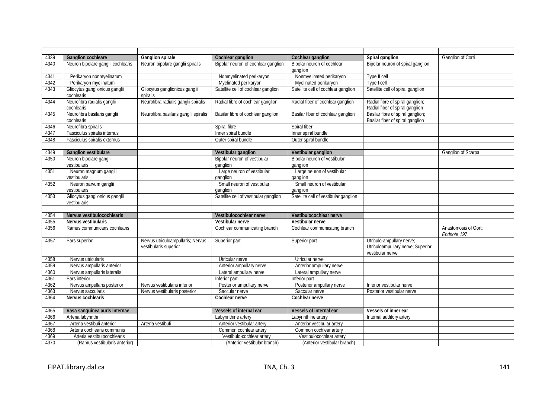| 4339 | <b>Ganglion cochleare</b>                      | Ganglion spirale                                           | Cochlear ganglion                        | Cochlear ganglion                        | Spiral ganglion                                                                    | Ganglion of Corti                   |
|------|------------------------------------------------|------------------------------------------------------------|------------------------------------------|------------------------------------------|------------------------------------------------------------------------------------|-------------------------------------|
| 4340 | Neuron bipolare ganglii cochlearis             | Neuron bipolare ganglii spiralis                           | Bipolar neuron of cochlear ganglion      | Bipolar neuron of cochlear<br>ganglion   | Bipolar neuron of spiral ganglion                                                  |                                     |
| 4341 | Perikaryon nonmyelinatum                       |                                                            | Nonmyelinated perikaryon                 | Nonmyelinated perikaryon                 | Type II cell                                                                       |                                     |
| 4342 | Perikaryon myelinatum                          |                                                            | Myelinated perikaryon                    | Myelinated perikaryon                    | Type I cell                                                                        |                                     |
| 4343 | Gliocytus ganglionicus ganglii<br>cochlearis   | Gliocytus ganglionicus ganglii<br>spiralis                 | Satellite cell of cochlear ganglion      | Satellite cell of cochlear ganglion      | Satellite cell of spiral ganglion                                                  |                                     |
| 4344 | Neurofibra radialis ganglii<br>cochlearis      | Neurofibra radialis ganglii spiralis                       | Radial fibre of cochlear ganglion        | Radial fiber of cochlear ganglion        | Radial fibre of spiral ganglion;<br>Radial fiber of spiral ganglion                |                                     |
| 4345 | Neurofibra basilaris ganglii<br>cochlearis     | Neurofibra basilaris ganglii spiralis                      | Basilar fibre of cochlear ganglion       | Basilar fiber of cochlear ganglion       | Basilar fibre of spiral ganglion;<br>Basilar fiber of spiral ganglion              |                                     |
| 4346 | Neurofibra spiralis                            |                                                            | Spiral fibre                             | Spiral fiber                             |                                                                                    |                                     |
| 4347 | Fasciculus spiralis internus                   |                                                            | Inner spiral bundle                      | Inner spiral bundle                      |                                                                                    |                                     |
| 4348 | Fasciculus spiralis externus                   |                                                            | Outer spiral bundle                      | Outer spiral bundle                      |                                                                                    |                                     |
|      |                                                |                                                            |                                          |                                          |                                                                                    |                                     |
| 4349 | <b>Ganglion vestibulare</b>                    |                                                            | Vestibular ganglion                      | Vestibular ganglion                      |                                                                                    | Ganglion of Scarpa                  |
| 4350 | Neuron bipolare ganglii<br>vestibularis        |                                                            | Bipolar neuron of vestibular<br>qanglion | Bipolar neuron of vestibular<br>ganglion |                                                                                    |                                     |
| 4351 | Neuron magnum ganglii<br>vestibularis          |                                                            | Large neuron of vestibular<br>qanglion   | Large neuron of vestibular<br>ganglion   |                                                                                    |                                     |
| 4352 | Neuron parvum ganglii<br>vestibularis          |                                                            | Small neuron of vestibular<br>ganglion   | Small neuron of vestibular<br>ganglion   |                                                                                    |                                     |
| 4353 | Gliocytus ganglionicus ganglii<br>vestibularis |                                                            | Satellite cell of vestibular ganglion    | Satellite cell of vestibular ganglion    |                                                                                    |                                     |
|      |                                                |                                                            |                                          |                                          |                                                                                    |                                     |
| 4354 | Nervus vestibulocochlearis                     |                                                            | Vestibulocochlear nerve                  | Vestibulocochlear nerve                  |                                                                                    |                                     |
| 4355 | Nervus vestibularis                            |                                                            | Vestibular nerve                         | Vestibular nerve                         |                                                                                    |                                     |
| 4356 | Ramus communicans cochlearis                   |                                                            | Cochlear communicating branch            | Cochlear communicating branch            |                                                                                    | Anastomosis of Oort;<br>Endnote 197 |
| 4357 | Pars superior                                  | Nervus utriculoampullaris; Nervus<br>vestibularis superior | Superior part                            | Superior part                            | Utriculo-ampullary nerve;<br>Utriculoampullary nerve; Superior<br>vestibular nerve |                                     |
| 4358 | Nervus utricularis                             |                                                            | Utricular nerve                          | Utricular nerve                          |                                                                                    |                                     |
| 4359 | Nervus ampullaris anterior                     |                                                            | Anterior ampullary nerve                 | Anterior ampullary nerve                 |                                                                                    |                                     |
| 4360 | Nervus ampullaris lateralis                    |                                                            | Lateral ampullary nerve                  | Lateral ampullary nerve                  |                                                                                    |                                     |
| 4361 | Pars inferior                                  |                                                            | Inferior part                            | Inferior part                            |                                                                                    |                                     |
| 4362 | Nervus ampullaris posterior                    | Nervus vestibularis inferior                               | Posterior ampullary nerve                | Posterior ampullary nerve                | Inferior vestibular nerve                                                          |                                     |
| 4363 | Nervus saccularis                              | Nervus vestibularis posterior                              | Saccular nerve                           | Saccular nerve                           | Posterior vestibular nerve                                                         |                                     |
| 4364 | Nervus cochlearis                              |                                                            | Cochlear nerve                           | Cochlear nerve                           |                                                                                    |                                     |
|      |                                                |                                                            |                                          |                                          |                                                                                    |                                     |
| 4365 | Vasa sanguinea auris internae                  |                                                            | Vessels of internal ear                  | Vessels of internal ear                  | Vessels of inner ear                                                               |                                     |
| 4366 | Arteria labyrinthi                             |                                                            | Labyrinthine artery                      | Labyrinthine artery                      | Internal auditory artery                                                           |                                     |
| 4367 | Arteria vestibuli anterior                     | Arteria vestibuli                                          | Anterior vestibular artery               | Anterior vestibular artery               |                                                                                    |                                     |
| 4368 | Arteria cochlearis communis                    |                                                            | Common cochlear artery                   | Common cochlear artery                   |                                                                                    |                                     |
| 4369 | Arteria vestibulocochlearis                    |                                                            | Vestibulo-cochlear artery                | Vestibulocochlear artery                 |                                                                                    |                                     |
| 4370 | (Ramus vestibularis anterior)                  |                                                            | (Anterior vestibular branch)             | (Anterior vestibular branch)             |                                                                                    |                                     |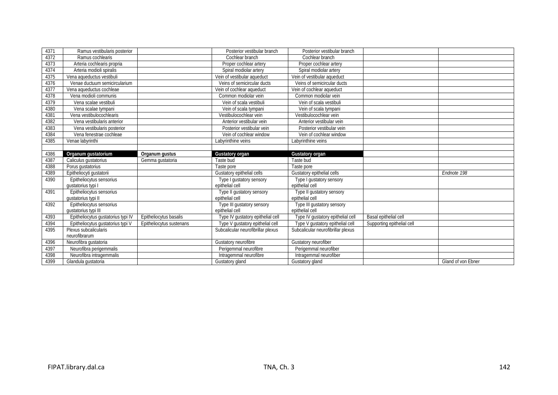| 4371 | Ramus vestibularis posterior       |                          | Posterior vestibular branch        | Posterior vestibular branch        |                            |             |
|------|------------------------------------|--------------------------|------------------------------------|------------------------------------|----------------------------|-------------|
| 4372 | Ramus cochlearis                   |                          | Cochlear branch                    | Cochlear branch                    |                            |             |
| 4373 | Arteria cochlearis propria         |                          | Proper cochlear artery             | Proper cochlear artery             |                            |             |
| 4374 | Arteria modioli spiralis           |                          | Spiral modiolar artery             | Spiral modiolar artery             |                            |             |
| 4375 | Vena aqueductus vestibuli          |                          | Vein of vestibular aqueduct        | Vein of vestibular aqueduct        |                            |             |
| 4376 | Venae ductuum semicircularium      |                          | Veins of semicircular ducts        | Veins of semicircular ducts        |                            |             |
| 4377 | Vena aqueductus cochleae           |                          | Vein of cochlear aqueduct          | Vein of cochlear aqueduct          |                            |             |
| 4378 | Vena modioli communis              |                          | Common modiolar vein               | Common modiolar vein               |                            |             |
| 4379 | Vena scalae vestibuli              |                          | Vein of scala vestibuli            | Vein of scala vestibuli            |                            |             |
| 4380 | Vena scalae tympani                |                          | Vein of scala tympani              | Vein of scala tympani              |                            |             |
| 4381 | Vena vestibulocochlearis           |                          | Vestibulocochlear vein             | Vestibulocochlear vein             |                            |             |
| 4382 | Vena vestibularis anterior         |                          | Anterior vestibular vein           | Anterior vestibular vein           |                            |             |
| 4383 | Vena vestibularis posterior        |                          | Posterior vestibular vein          | Posterior vestibular vein          |                            |             |
| 4384 | Vena fenestrae cochleae            |                          | Vein of cochlear window            | Vein of cochlear window            |                            |             |
| 4385 | Venae labyrinthi                   |                          | Labyrinthine veins                 | Labyrinthine veins                 |                            |             |
|      |                                    |                          |                                    |                                    |                            |             |
| 4386 | Organum gustatorium                | Organum gustus           | <b>Gustatory organ</b>             | <b>Gustatory organ</b>             |                            |             |
|      |                                    |                          |                                    |                                    |                            |             |
| 4387 | Caliculus qustatorius              | Gemma gustatoria         | Taste bud                          | Taste bud                          |                            |             |
| 4388 | Porus qustatorius                  |                          | Taste pore                         | Taste pore                         |                            |             |
| 4389 | Epitheliocyti gustatorii           |                          | Gustatory epithelial cells         | Gustatory epithelial cells         |                            | Endnote 198 |
| 4390 | Epitheliocytus sensorius           |                          | Type I qustatory sensory           | Type I qustatory sensory           |                            |             |
|      | qustatorius typi I                 |                          | epithelial cell                    | epithelial cell                    |                            |             |
| 4391 | Epitheliocytus sensorius           |                          | Type II gustatory sensory          | Type II gustatory sensory          |                            |             |
|      | qustatorius typi II                |                          | epithelial cell                    | epithelial cell                    |                            |             |
| 4392 | Epitheliocytus sensorius           |                          | Type III gustatory sensory         | Type III gustatory sensory         |                            |             |
|      | qustatorius typi III               |                          | epithelial cell                    | epithelial cell                    |                            |             |
| 4393 | Epitheliocytus gustatorius typi IV | Epitheliocytus basalis   | Type IV gustatory epithelial cell  | Type IV gustatory epithelial cell  | Basal epithelial cell      |             |
| 4394 | Epitheliocytus gustatorius typi V  | Epitheliocytus sustenans | Type V gustatory epithelial cell   | Type V gustatory epithelial cell   | Supporting epithelial cell |             |
| 4395 | Plexus subcalicularis              |                          | Subcalicular neurofibrillar plexus | Subcalicular neurofibrillar plexus |                            |             |
|      | neurofibrarum                      |                          |                                    |                                    |                            |             |
| 4396 | Neurofibra gustatoria              |                          | Gustatory neurofibre               | Gustatory neurofiber               |                            |             |
| 4397 | Neurofibra perigemmalis            |                          | Perigemmal neurofibre              | Perigemmal neurofiber              |                            |             |
| 4398 | Neurofibra intragemmalis           |                          | Intragemmal neurofibre             | Intragemmal neurofiber             |                            |             |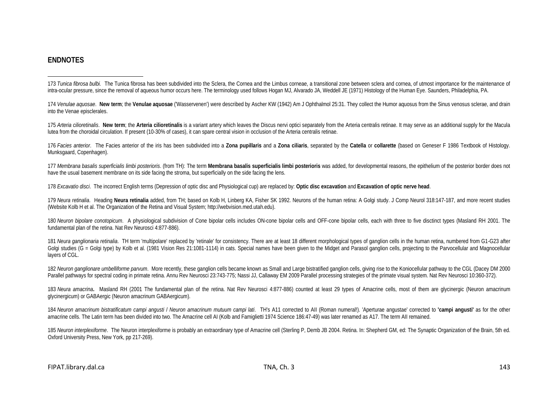#### <span id="page-23-12"></span><span id="page-23-11"></span><span id="page-23-10"></span><span id="page-23-9"></span><span id="page-23-8"></span><span id="page-23-7"></span><span id="page-23-6"></span><span id="page-23-5"></span><span id="page-23-4"></span><span id="page-23-3"></span><span id="page-23-2"></span><span id="page-23-1"></span><span id="page-23-0"></span>**ENDNOTES**

 $\overline{a}$ 173 Tunica fibrosa bulbi. The Tunica fibrosa has been subdivided into the Sclera, the Cornea and the Limbus corneae, a transitional zone between sclera and cornea, of utmost importance for the maintenance of intra-ocular pressure, since the removal of aqueous humor occurs here. The terminology used follows Hogan MJ, Alvarado JA, Weddell JE (1971) Histology of the Human Eye. Saunders, Philadelphia, PA.

174 Venulae aguosae. New term; the Venulae aguosae ('Wasservenen') were described by Ascher KW (1942) Am J Ophthalmol 25:31. They collect the Humor aguosus from the Sinus venosus sclerae, and drain into the Venae episclerales.

175 Arteria cilioretinalis. New term: the Arteria cilioretinalis is a variant artery which leaves the Discus nervi optici separately from the Arteria centralis retinae. It may serve as an additional supply for the Macula lutea from the choroidal circulation. If present (10-30% of cases), it can spare central vision in occlusion of the Arteria centralis retinae.

176 Facies anterior. The Facies anterior of the iris has been subdivided into a Zona pupillaris and a Zona ciliaris, separated by the Catella or collarette (based on Geneser F 1986 Textbook of Histology. Munksgaard, Copenhagen).

177 Membrana basalis superficialis limbi posterioris. (from TH): The term Membrana basalis superficialis limbi posterioris was added, for developmental reasons, the epithelium of the posterior border does not have the usual basement membrane on its side facing the stroma, but superficially on the side facing the lens.

178 *Excavatio disci*.The incorrect English terms (Depression of optic disc and Physiological cup) are replaced by: **Optic disc excavation** and **Excavation of optic nerve head**.

179 Neura retinalia. Heading Neura retinalia added, from TH; based on Kolb H, Linberg KA, Fisher SK 1992. Neurons of the human retina: A Golgi study. J Comp Neurol 318:147-187, and more recent studies (Website Kolb H et al. The Organization of the Retina and Visual System; http://webvision.med.utah.edu).

180 *Neuron bipolare conotopicum*. A physiological subdivision of Cone bipolar cells includes ON-cone bipolar cells and OFF-cone bipolar cells, each with three to five disctinct types (Masland RH 2001. The fundamental plan of the retina. Nat Rev Neurosci 4:877-886).

181 *Neura ganglionaria retinalia*. TH term 'multipolare' replaced by 'retinale' for consistency. There are at least 18 different morphological types of ganglion cells in the human retina, numbered from G1-G23 after Golgi studies (G = Golgi type) by Kolb et al. (1981 Vision Res 21:1081-1114) in cats. Special names have been given to the Midget and Parasol ganglion cells, projecting to the Parvocellular and Magnocellular layers of CGL.

182 Neuron ganglionare umbelliforme parvum. More recently, these ganglion cells became known as Small and Large bistratified ganglion cells, giving rise to the Koniocellular pathway to the CGL (Dacey DM 2000 Parallel pathways for spectral coding in primate retina. Annu Rev Neurosci 23:743-775; Nassi JJ, Callaway EM 2009 Parallel processing strategies of the primate visual system. Nat Rev Neurosci 10:360-372).

183 *Neura amacrina***.** Masland RH (2001 The fundamental plan of the retina. Nat Rev Neurosci 4:877-886) counted at least 29 types of Amacrine cells, most of them are glycinergic (Neuron amacrinum glycinergicum) or GABAergic (Neuron amacrinum GABAergicum).

184 Neuron amacrinum bistratificatum campi angusti / Neuron amacrinum mutuum campi lati. TH's A11 corrected to All (Roman numeral!). 'Aperturae angustae' corrected to 'campi angusti' as for the other amacrine cells. The Latin term has been divided into two. The Amacrine cell AI (Kolb and Famiglietti 1974 Science 186:47-49) was later renamed as A17. The term AII remained.

185 *Neuron interplexiforme*. The Neuron interplexiforme is probably an extraordinary type of Amacrine cell (Sterling P, Demb JB 2004. Retina. In: Shepherd GM, ed: The Synaptic Organization of the Brain, 5th ed. Oxford University Press, New York, pp 217-269).